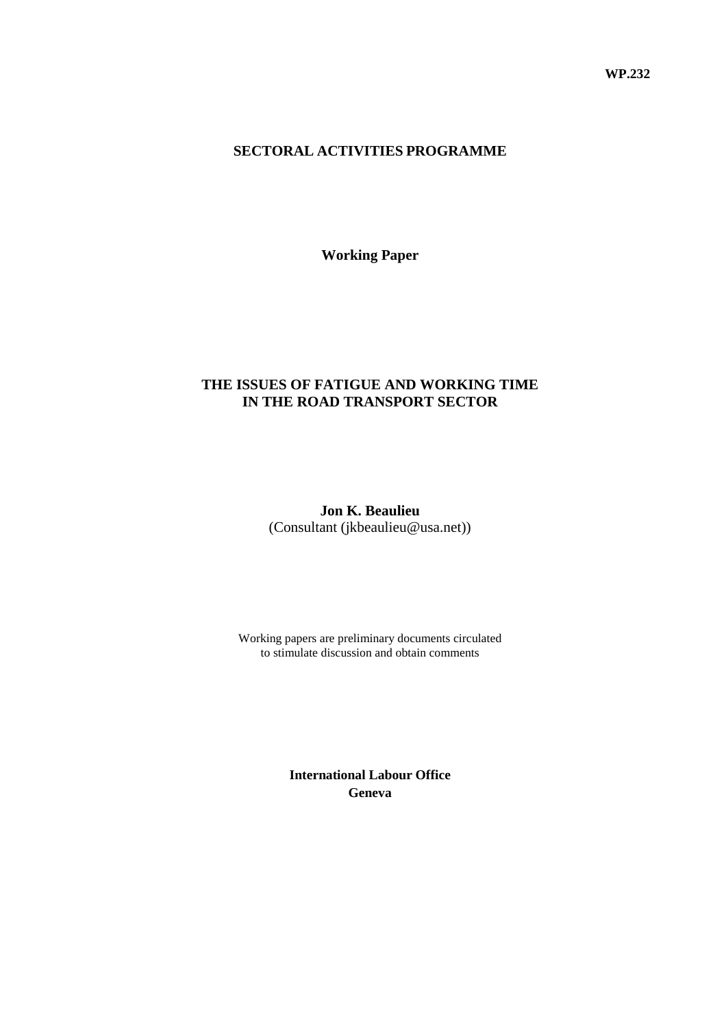#### **SECTORAL ACTIVITIES PROGRAMME**

**Working Paper**

### **THE ISSUES OF FATIGUE AND WORKING TIME IN THE ROAD TRANSPORT SECTOR**

**Jon K. Beaulieu**  (Consultant (jkbeaulieu@usa.net))

Working papers are preliminary documents circulated to stimulate discussion and obtain comments

> **International Labour Office Geneva**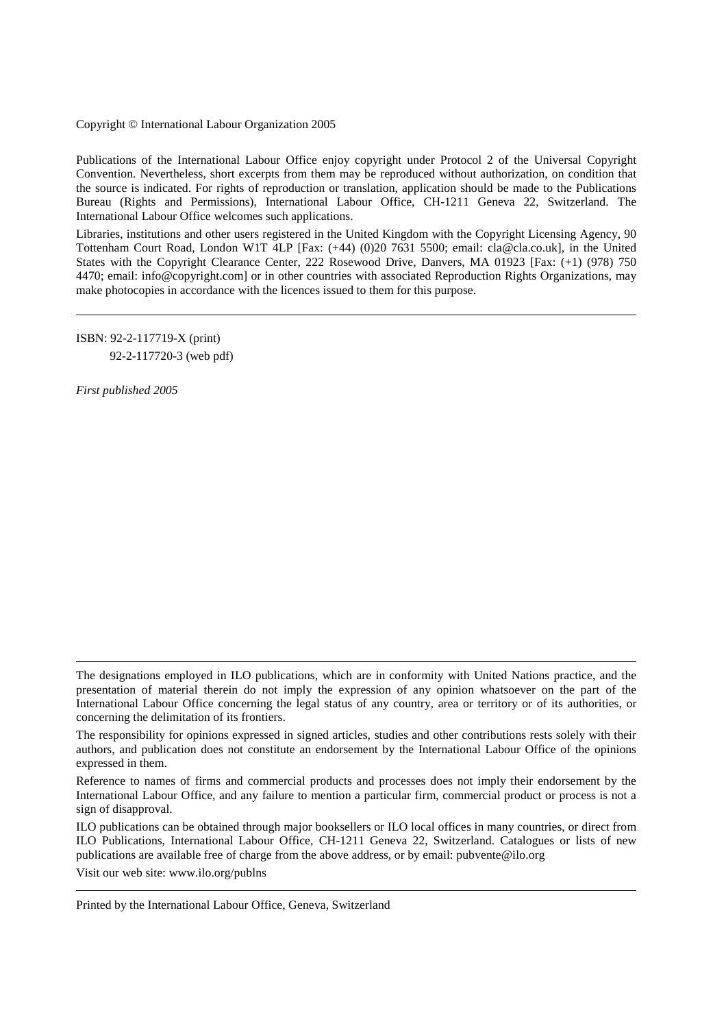#### Copyright © International Labour Organization 2005

Publications of the International Labour Office enjoy copyright under Protocol 2 of the Universal Copyright Convention. Nevertheless, short excerpts from them may be reproduced without authorization, on condition that the source is indicated. For rights of reproduction or translation, application should be made to the Publications Bureau (Rights and Permissions), International Labour Office, CH-1211 Geneva 22, Switzerland. The International Labour Office welcomes such applications.

Libraries, institutions and other users registered in the United Kingdom with the Copyright Licensing Agency, 90 Tottenham Court Road, London W1T 4LP [Fax: (+44) (0)20 7631 5500; email: cla@cla.co.uk], in the United States with the Copyright Clearance Center, 222 Rosewood Drive, Danvers, MA 01923 [Fax: (+1) (978) 750 4470; email: info@copyright.com] or in other countries with associated Reproduction Rights Organizations, may make photocopies in accordance with the licences issued to them for this purpose.

ISBN: 92-2-117719-X (print) 92-2-117720-3 (web pdf)

*First published 2005* 

Visit our web site: www.ilo.org/publns

Printed by the International Labour Office, Geneva, Switzerland

The designations employed in ILO publications, which are in conformity with United Nations practice, and the presentation of material therein do not imply the expression of any opinion whatsoever on the part of the International Labour Office concerning the legal status of any country, area or territory or of its authorities, or concerning the delimitation of its frontiers.

The responsibility for opinions expressed in signed articles, studies and other contributions rests solely with their authors, and publication does not constitute an endorsement by the International Labour Office of the opinions expressed in them.

Reference to names of firms and commercial products and processes does not imply their endorsement by the International Labour Office, and any failure to mention a particular firm, commercial product or process is not a sign of disapproval.

ILO publications can be obtained through major booksellers or ILO local offices in many countries, or direct from ILO Publications, International Labour Office, CH-1211 Geneva 22, Switzerland. Catalogues or lists of new publications are available free of charge from the above address, or by email: pubvente@ilo.org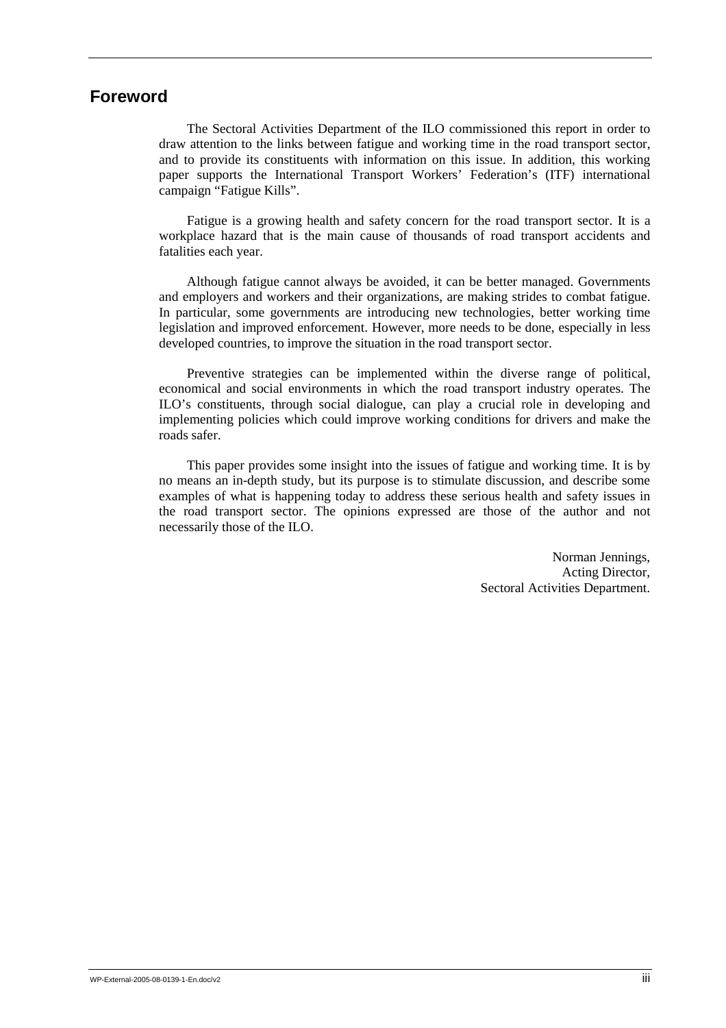# **Foreword**

The Sectoral Activities Department of the ILO commissioned this report in order to draw attention to the links between fatigue and working time in the road transport sector, and to provide its constituents with information on this issue. In addition, this working paper supports the International Transport Workers' Federation's (ITF) international campaign "Fatigue Kills".

Fatigue is a growing health and safety concern for the road transport sector. It is a workplace hazard that is the main cause of thousands of road transport accidents and fatalities each year.

Although fatigue cannot always be avoided, it can be better managed. Governments and employers and workers and their organizations, are making strides to combat fatigue. In particular, some governments are introducing new technologies, better working time legislation and improved enforcement. However, more needs to be done, especially in less developed countries, to improve the situation in the road transport sector.

Preventive strategies can be implemented within the diverse range of political, economical and social environments in which the road transport industry operates. The ILO's constituents, through social dialogue, can play a crucial role in developing and implementing policies which could improve working conditions for drivers and make the roads safer.

This paper provides some insight into the issues of fatigue and working time. It is by no means an in-depth study, but its purpose is to stimulate discussion, and describe some examples of what is happening today to address these serious health and safety issues in the road transport sector. The opinions expressed are those of the author and not necessarily those of the ILO.

> Norman Jennings, Acting Director, Sectoral Activities Department.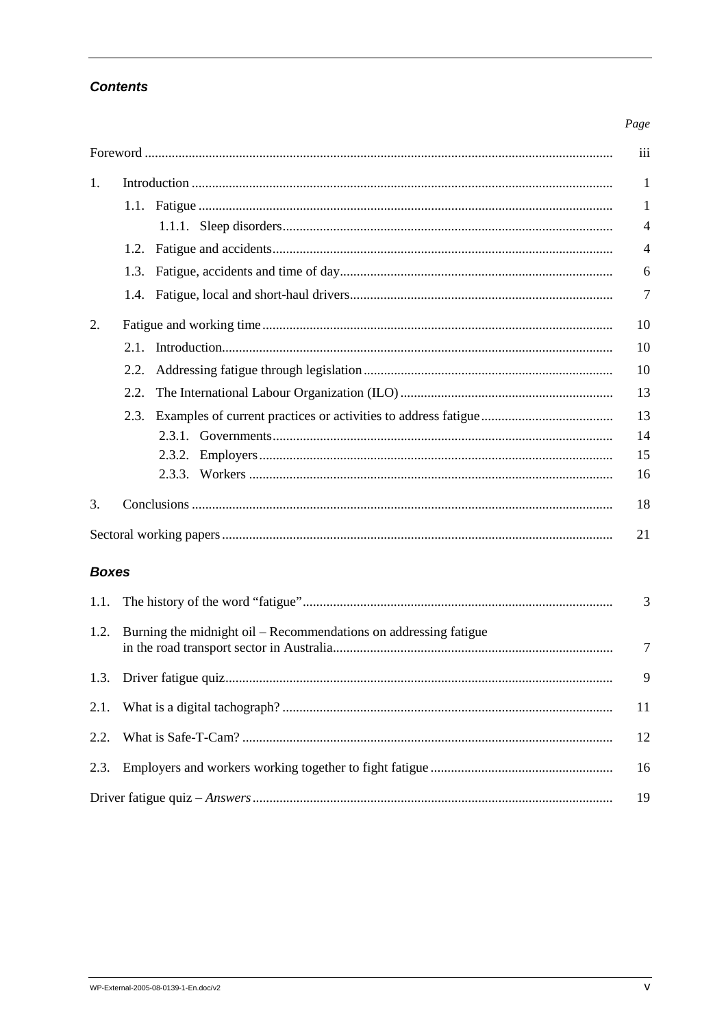# **Contents**

#### Page

|                |      | iii            |
|----------------|------|----------------|
| $\mathbf{1}$ . |      | $\mathbf{1}$   |
|                |      | $\mathbf{1}$   |
|                |      | $\overline{4}$ |
|                | 1.2. | $\overline{4}$ |
|                |      | 6              |
|                |      | $\overline{7}$ |
| 2.             |      | 10             |
|                | 2.1  | 10             |
|                | 2.2. | 10             |
|                | 2.2. | 13             |
|                |      | 13             |
|                |      | 14             |
|                |      | 15             |
|                |      | 16             |
| 3.             |      | 18             |
|                |      | 21             |

### **Boxes**

| 1.2. Burning the midnight oil – Recommendations on addressing fatigue | $\overline{7}$ |
|-----------------------------------------------------------------------|----------------|
|                                                                       | 9              |
|                                                                       | -11            |
|                                                                       | 12             |
|                                                                       |                |
|                                                                       | 19             |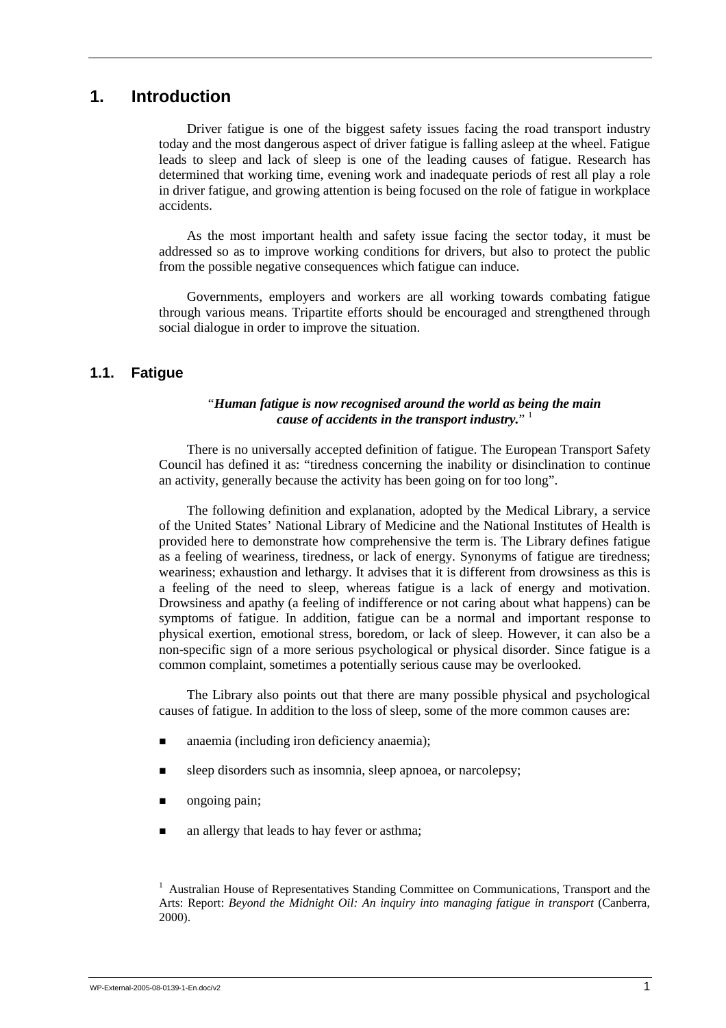# **1. Introduction**

Driver fatigue is one of the biggest safety issues facing the road transport industry today and the most dangerous aspect of driver fatigue is falling asleep at the wheel. Fatigue leads to sleep and lack of sleep is one of the leading causes of fatigue. Research has determined that working time, evening work and inadequate periods of rest all play a role in driver fatigue, and growing attention is being focused on the role of fatigue in workplace accidents.

As the most important health and safety issue facing the sector today, it must be addressed so as to improve working conditions for drivers, but also to protect the public from the possible negative consequences which fatigue can induce.

Governments, employers and workers are all working towards combating fatigue through various means. Tripartite efforts should be encouraged and strengthened through social dialogue in order to improve the situation.

#### **1.1. Fatigue**

#### "*Human fatigue is now recognised around the world as being the main cause of accidents in the transport industry.*" 1

There is no universally accepted definition of fatigue. The European Transport Safety Council has defined it as: "tiredness concerning the inability or disinclination to continue an activity, generally because the activity has been going on for too long".

The following definition and explanation, adopted by the Medical Library, a service of the United States' National Library of Medicine and the National Institutes of Health is provided here to demonstrate how comprehensive the term is. The Library defines fatigue as a feeling of weariness, tiredness, or lack of energy. Synonyms of fatigue are tiredness; weariness; exhaustion and lethargy. It advises that it is different from drowsiness as this is a feeling of the need to sleep, whereas fatigue is a lack of energy and motivation. Drowsiness and apathy (a feeling of indifference or not caring about what happens) can be symptoms of fatigue. In addition, fatigue can be a normal and important response to physical exertion, emotional stress, boredom, or lack of sleep. However, it can also be a non-specific sign of a more serious psychological or physical disorder. Since fatigue is a common complaint, sometimes a potentially serious cause may be overlooked.

The Library also points out that there are many possible physical and psychological causes of fatigue. In addition to the loss of sleep, some of the more common causes are:

- anaemia (including iron deficiency anaemia);
- sleep disorders such as insomnia, sleep apnoea, or narcolepsy;
- ongoing pain;
- an allergy that leads to hay fever or asthma;

<sup>&</sup>lt;sup>1</sup> Australian House of Representatives Standing Committee on Communications, Transport and the Arts: Report: *Beyond the Midnight Oil: An inquiry into managing fatigue in transport* (Canberra, 2000).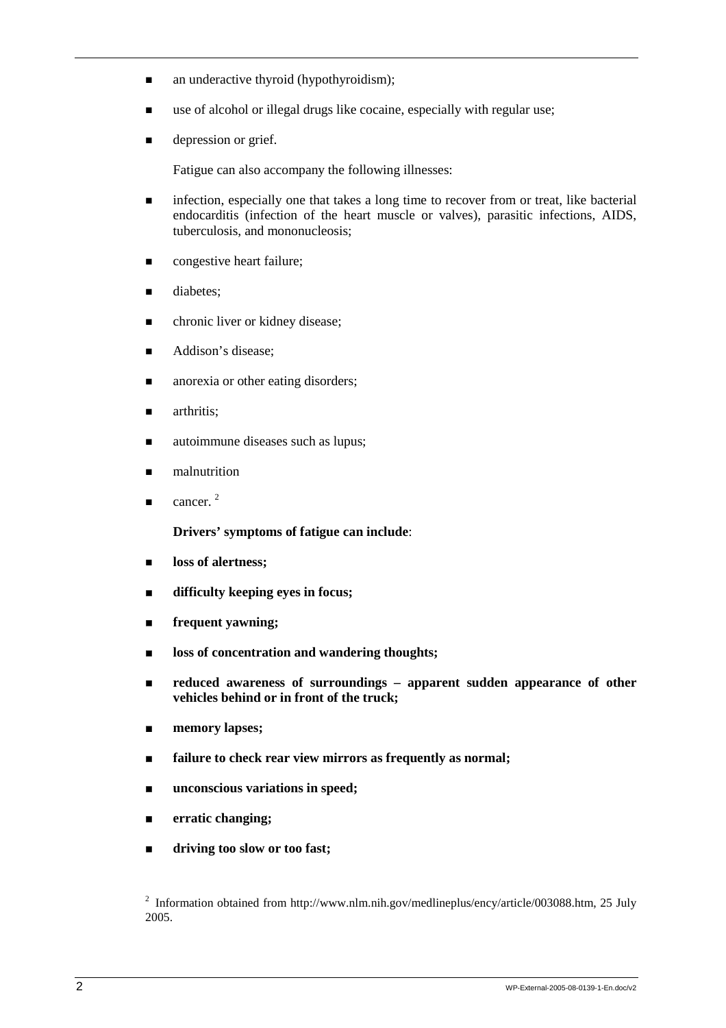- $\blacksquare$  an underactive thyroid (hypothyroidism);
- $\blacksquare$  use of alcohol or illegal drugs like cocaine, especially with regular use;
- $\blacksquare$  depression or grief.

Fatigue can also accompany the following illnesses:

- **Infection, especially one that takes a long time to recover from or treat, like bacterial** endocarditis (infection of the heart muscle or valves), parasitic infections, AIDS, tuberculosis, and mononucleosis;
- $\blacksquare$  congestive heart failure;
- **diabetes:**
- $\blacksquare$  chronic liver or kidney disease;
- Addison's disease:
- **n** anorexia or other eating disorders:
- **u** arthritis:
- autoimmune diseases such as lupus;
- $\blacksquare$  malnutrition
- $\blacksquare$  cancer. <sup>2</sup>

**Drivers' symptoms of fatigue can include**:

- **loss of alertness;**
- ! **difficulty keeping eyes in focus;**
- ! **frequent yawning;**
- **loss of concentration and wandering thoughts;**
- ! **reduced awareness of surroundings apparent sudden appearance of other vehicles behind or in front of the truck;**
- memory lapses;
- ! **failure to check rear view mirrors as frequently as normal;**
- unconscious variations in speed;
- ! **erratic changing;**
- ! **driving too slow or too fast;**

<sup>2</sup> Information obtained from http://www.nlm.nih.gov/medlineplus/ency/article/003088.htm, 25 July 2005.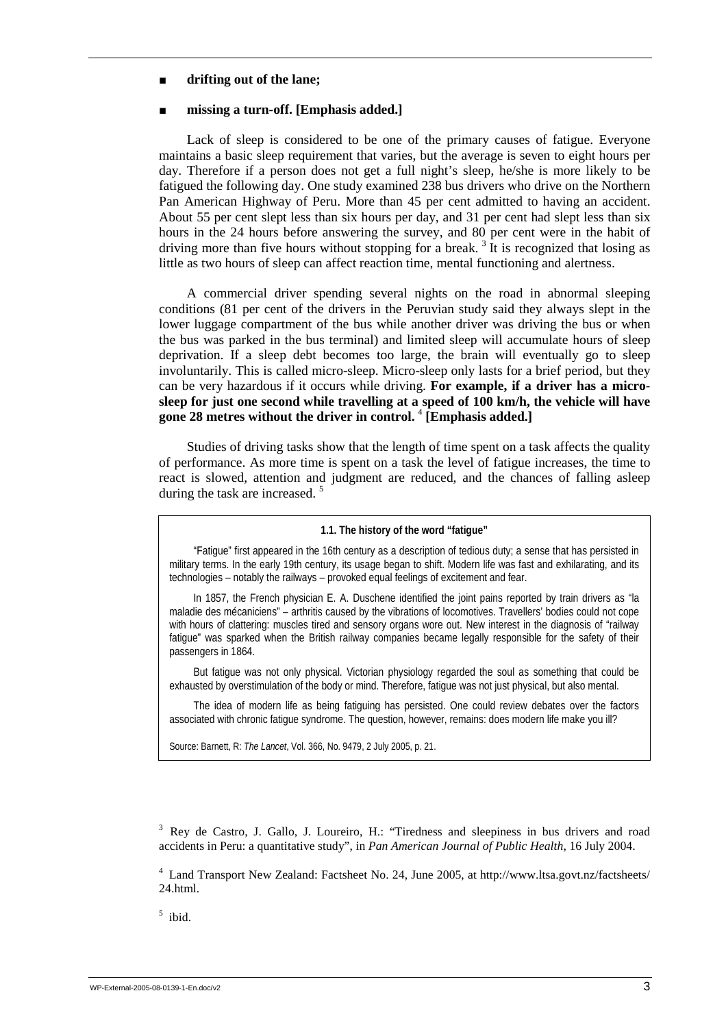#### ! **drifting out of the lane;**

#### ! **missing a turn-off. [Emphasis added.]**

Lack of sleep is considered to be one of the primary causes of fatigue. Everyone maintains a basic sleep requirement that varies, but the average is seven to eight hours per day. Therefore if a person does not get a full night's sleep, he/she is more likely to be fatigued the following day. One study examined 238 bus drivers who drive on the Northern Pan American Highway of Peru. More than 45 per cent admitted to having an accident. About 55 per cent slept less than six hours per day, and 31 per cent had slept less than six hours in the 24 hours before answering the survey, and 80 per cent were in the habit of driving more than five hours without stopping for a break.<sup>3</sup> It is recognized that losing as little as two hours of sleep can affect reaction time, mental functioning and alertness.

A commercial driver spending several nights on the road in abnormal sleeping conditions (81 per cent of the drivers in the Peruvian study said they always slept in the lower luggage compartment of the bus while another driver was driving the bus or when the bus was parked in the bus terminal) and limited sleep will accumulate hours of sleep deprivation. If a sleep debt becomes too large, the brain will eventually go to sleep involuntarily. This is called micro-sleep. Micro-sleep only lasts for a brief period, but they can be very hazardous if it occurs while driving. **For example, if a driver has a microsleep for just one second while travelling at a speed of 100 km/h, the vehicle will have gone 28 metres without the driver in control.** <sup>4</sup>  **[Emphasis added.]**

Studies of driving tasks show that the length of time spent on a task affects the quality of performance. As more time is spent on a task the level of fatigue increases, the time to react is slowed, attention and judgment are reduced, and the chances of falling asleep during the task are increased.<sup>5</sup>

#### **1.1. The history of the word "fatigue"**

"Fatigue" first appeared in the 16th century as a description of tedious duty; a sense that has persisted in military terms. In the early 19th century, its usage began to shift. Modern life was fast and exhilarating, and its technologies – notably the railways – provoked equal feelings of excitement and fear.

In 1857, the French physician E. A. Duschene identified the joint pains reported by train drivers as "la maladie des mécaniciens" – arthritis caused by the vibrations of locomotives. Travellers' bodies could not cope with hours of clattering: muscles tired and sensory organs wore out. New interest in the diagnosis of "railway fatigue" was sparked when the British railway companies became legally responsible for the safety of their passengers in 1864.

But fatigue was not only physical. Victorian physiology regarded the soul as something that could be exhausted by overstimulation of the body or mind. Therefore, fatigue was not just physical, but also mental.

The idea of modern life as being fatiguing has persisted. One could review debates over the factors associated with chronic fatigue syndrome. The question, however, remains: does modern life make you ill?

Source: Barnett, R: *The Lancet*, Vol. 366, No. 9479, 2 July 2005, p. 21.

<sup>3</sup> Rey de Castro, J. Gallo, J. Loureiro, H.: "Tiredness and sleepiness in bus drivers and road accidents in Peru: a quantitative study", in *Pan American Journal of Public Health*, 16 July 2004.

4 Land Transport New Zealand: Factsheet No. 24, June 2005, at http://www.ltsa.govt.nz/factsheets/ 24.html.

5 ibid.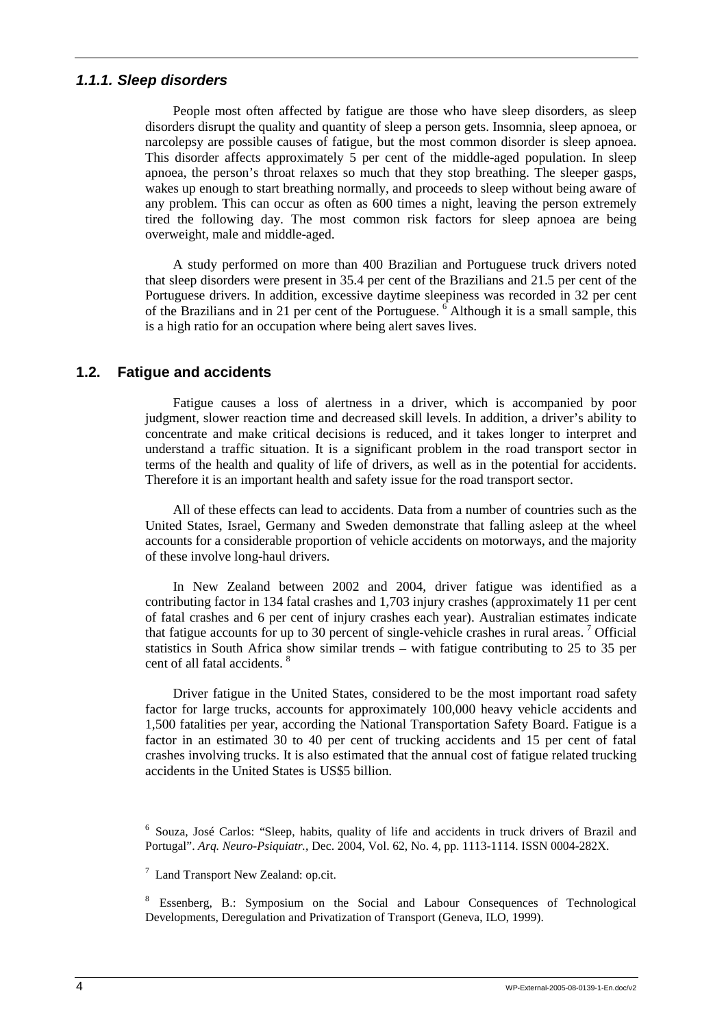#### *1.1.1. Sleep disorders*

People most often affected by fatigue are those who have sleep disorders, as sleep disorders disrupt the quality and quantity of sleep a person gets. Insomnia, sleep apnoea, or narcolepsy are possible causes of fatigue, but the most common disorder is sleep apnoea. This disorder affects approximately 5 per cent of the middle-aged population. In sleep apnoea, the person's throat relaxes so much that they stop breathing. The sleeper gasps, wakes up enough to start breathing normally, and proceeds to sleep without being aware of any problem. This can occur as often as 600 times a night, leaving the person extremely tired the following day. The most common risk factors for sleep apnoea are being overweight, male and middle-aged.

A study performed on more than 400 Brazilian and Portuguese truck drivers noted that sleep disorders were present in 35.4 per cent of the Brazilians and 21.5 per cent of the Portuguese drivers. In addition, excessive daytime sleepiness was recorded in 32 per cent of the Brazilians and in 21 per cent of the Portuguese.  $6$  Although it is a small sample, this is a high ratio for an occupation where being alert saves lives.

### **1.2. Fatigue and accidents**

Fatigue causes a loss of alertness in a driver, which is accompanied by poor judgment, slower reaction time and decreased skill levels. In addition, a driver's ability to concentrate and make critical decisions is reduced, and it takes longer to interpret and understand a traffic situation. It is a significant problem in the road transport sector in terms of the health and quality of life of drivers, as well as in the potential for accidents. Therefore it is an important health and safety issue for the road transport sector.

All of these effects can lead to accidents. Data from a number of countries such as the United States, Israel, Germany and Sweden demonstrate that falling asleep at the wheel accounts for a considerable proportion of vehicle accidents on motorways, and the majority of these involve long-haul drivers.

In New Zealand between 2002 and 2004, driver fatigue was identified as a contributing factor in 134 fatal crashes and 1,703 injury crashes (approximately 11 per cent of fatal crashes and 6 per cent of injury crashes each year). Australian estimates indicate that fatigue accounts for up to 30 percent of single-vehicle crashes in rural areas.<sup>7</sup> Official statistics in South Africa show similar trends – with fatigue contributing to 25 to 35 per cent of all fatal accidents.  $8$ 

Driver fatigue in the United States, considered to be the most important road safety factor for large trucks, accounts for approximately 100,000 heavy vehicle accidents and 1,500 fatalities per year, according the National Transportation Safety Board. Fatigue is a factor in an estimated 30 to 40 per cent of trucking accidents and 15 per cent of fatal crashes involving trucks. It is also estimated that the annual cost of fatigue related trucking accidents in the United States is US\$5 billion.

<sup>&</sup>lt;sup>6</sup> Souza, José Carlos: "Sleep, habits, quality of life and accidents in truck drivers of Brazil and Portugal". *Arq. Neuro-Psiquiatr.*, Dec. 2004, Vol. 62, No. 4, pp. 1113-1114. ISSN 0004-282X.

<sup>&</sup>lt;sup>7</sup> Land Transport New Zealand: op.cit.

<sup>8</sup> Essenberg, B.: Symposium on the Social and Labour Consequences of Technological Developments, Deregulation and Privatization of Transport (Geneva, ILO, 1999).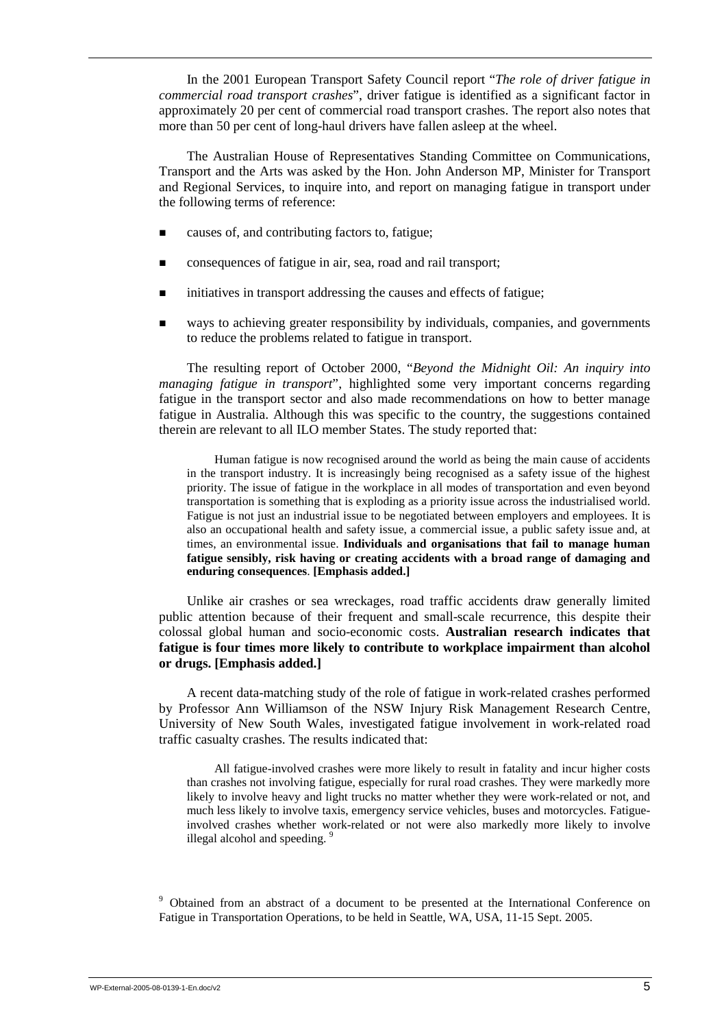In the 2001 European Transport Safety Council report "*The role of driver fatigue in commercial road transport crashes*", driver fatigue is identified as a significant factor in approximately 20 per cent of commercial road transport crashes. The report also notes that more than 50 per cent of long-haul drivers have fallen asleep at the wheel.

The Australian House of Representatives Standing Committee on Communications, Transport and the Arts was asked by the Hon. John Anderson MP, Minister for Transport and Regional Services, to inquire into, and report on managing fatigue in transport under the following terms of reference:

- causes of, and contributing factors to, fatigue;
- ! consequences of fatigue in air, sea, road and rail transport;
- ! initiatives in transport addressing the causes and effects of fatigue;
- ! ways to achieving greater responsibility by individuals, companies, and governments to reduce the problems related to fatigue in transport.

The resulting report of October 2000, "*Beyond the Midnight Oil: An inquiry into managing fatigue in transport*", highlighted some very important concerns regarding fatigue in the transport sector and also made recommendations on how to better manage fatigue in Australia. Although this was specific to the country, the suggestions contained therein are relevant to all ILO member States. The study reported that:

Human fatigue is now recognised around the world as being the main cause of accidents in the transport industry. It is increasingly being recognised as a safety issue of the highest priority. The issue of fatigue in the workplace in all modes of transportation and even beyond transportation is something that is exploding as a priority issue across the industrialised world. Fatigue is not just an industrial issue to be negotiated between employers and employees. It is also an occupational health and safety issue, a commercial issue, a public safety issue and, at times, an environmental issue. **Individuals and organisations that fail to manage human fatigue sensibly, risk having or creating accidents with a broad range of damaging and enduring consequences**. **[Emphasis added.]** 

Unlike air crashes or sea wreckages, road traffic accidents draw generally limited public attention because of their frequent and small-scale recurrence, this despite their colossal global human and socio-economic costs. **Australian research indicates that fatigue is four times more likely to contribute to workplace impairment than alcohol or drugs. [Emphasis added.]**

A recent data-matching study of the role of fatigue in work-related crashes performed by Professor Ann Williamson of the NSW Injury Risk Management Research Centre, University of New South Wales, investigated fatigue involvement in work-related road traffic casualty crashes. The results indicated that:

All fatigue-involved crashes were more likely to result in fatality and incur higher costs than crashes not involving fatigue, especially for rural road crashes. They were markedly more likely to involve heavy and light trucks no matter whether they were work-related or not, and much less likely to involve taxis, emergency service vehicles, buses and motorcycles. Fatigueinvolved crashes whether work-related or not were also markedly more likely to involve illegal alcohol and speeding.<sup>9</sup>

<sup>9</sup> Obtained from an abstract of a document to be presented at the International Conference on Fatigue in Transportation Operations, to be held in Seattle, WA, USA, 11-15 Sept. 2005.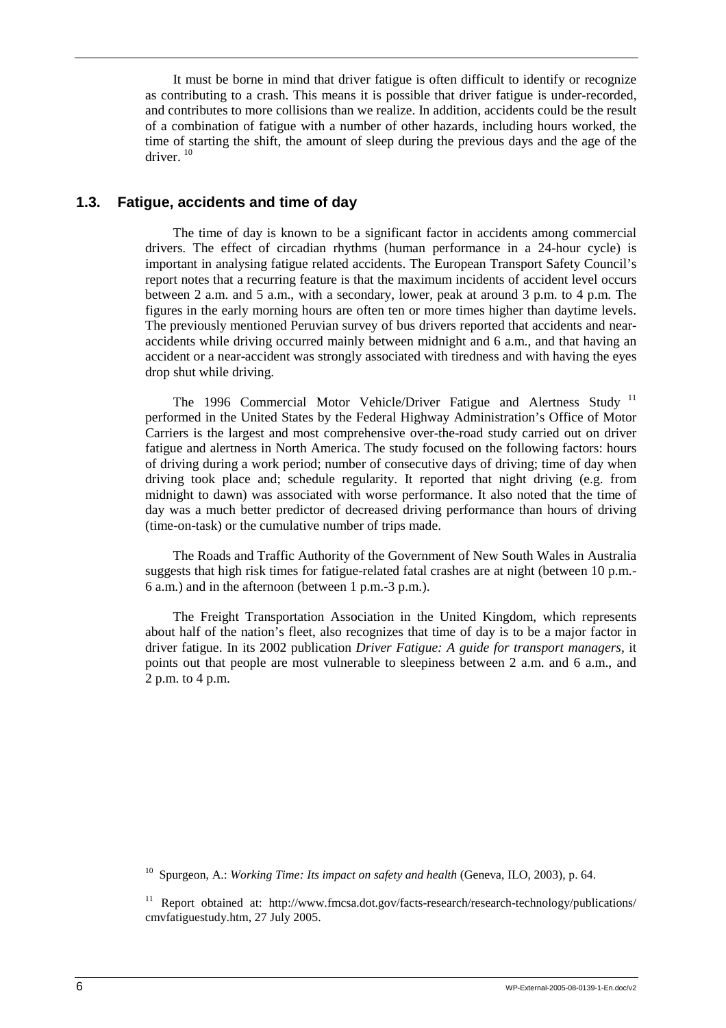It must be borne in mind that driver fatigue is often difficult to identify or recognize as contributing to a crash. This means it is possible that driver fatigue is under-recorded, and contributes to more collisions than we realize. In addition, accidents could be the result of a combination of fatigue with a number of other hazards, including hours worked, the time of starting the shift, the amount of sleep during the previous days and the age of the driver.<sup>10</sup>

#### **1.3. Fatigue, accidents and time of day**

The time of day is known to be a significant factor in accidents among commercial drivers. The effect of circadian rhythms (human performance in a 24-hour cycle) is important in analysing fatigue related accidents. The European Transport Safety Council's report notes that a recurring feature is that the maximum incidents of accident level occurs between 2 a.m. and 5 a.m., with a secondary, lower, peak at around 3 p.m. to 4 p.m. The figures in the early morning hours are often ten or more times higher than daytime levels. The previously mentioned Peruvian survey of bus drivers reported that accidents and nearaccidents while driving occurred mainly between midnight and 6 a.m., and that having an accident or a near-accident was strongly associated with tiredness and with having the eyes drop shut while driving.

The 1996 Commercial Motor Vehicle/Driver Fatigue and Alertness Study <sup>11</sup> performed in the United States by the Federal Highway Administration's Office of Motor Carriers is the largest and most comprehensive over-the-road study carried out on driver fatigue and alertness in North America. The study focused on the following factors: hours of driving during a work period; number of consecutive days of driving; time of day when driving took place and; schedule regularity. It reported that night driving (e.g. from midnight to dawn) was associated with worse performance. It also noted that the time of day was a much better predictor of decreased driving performance than hours of driving (time-on-task) or the cumulative number of trips made.

The Roads and Traffic Authority of the Government of New South Wales in Australia suggests that high risk times for fatigue-related fatal crashes are at night (between 10 p.m.- 6 a.m.) and in the afternoon (between 1 p.m.-3 p.m.).

The Freight Transportation Association in the United Kingdom, which represents about half of the nation's fleet, also recognizes that time of day is to be a major factor in driver fatigue. In its 2002 publication *Driver Fatigue: A guide for transport managers*, it points out that people are most vulnerable to sleepiness between 2 a.m. and 6 a.m., and  $2$  p.m. to 4 p.m.

10 Spurgeon, A.: *Working Time: Its impact on safety and health* (Geneva, ILO, 2003), p. 64.

<sup>&</sup>lt;sup>11</sup> Report obtained at: http://www.fmcsa.dot.gov/facts-research/research-technology/publications/ cmvfatiguestudy.htm, 27 July 2005.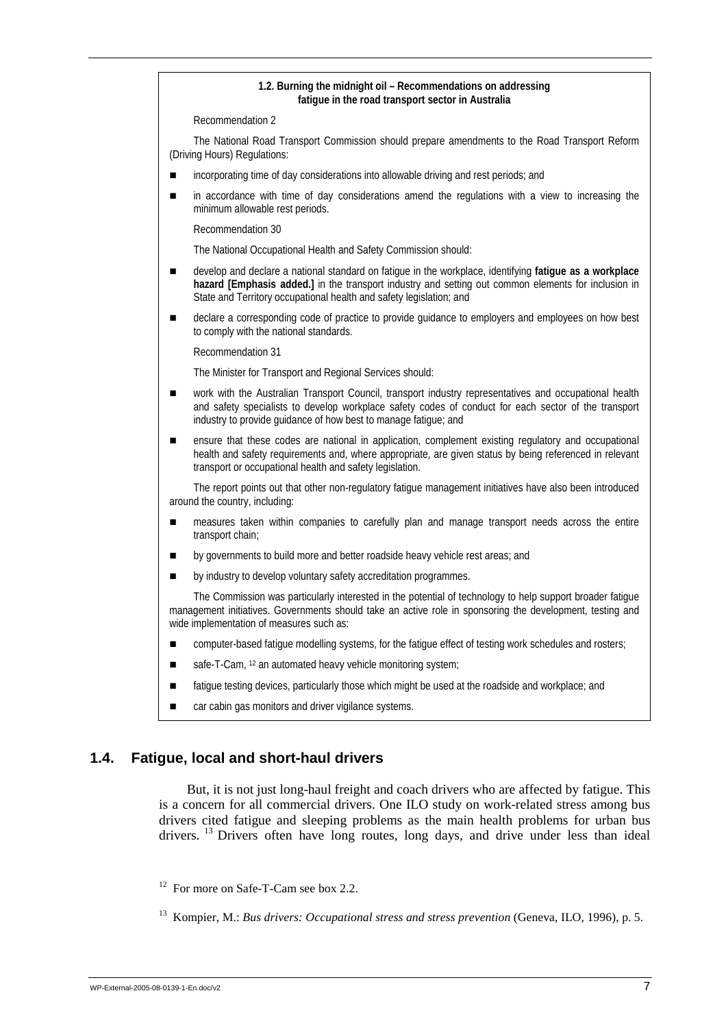# **1.2. Burning the midnight oil – Recommendations on addressing fatigue in the road transport sector in Australia**  Recommendation 2 The National Road Transport Commission should prepare amendments to the Road Transport Reform (Driving Hours) Regulations: incorporating time of day considerations into allowable driving and rest periods; and **...** in accordance with time of day considerations amend the regulations with a view to increasing the minimum allowable rest periods. Recommendation 30 The National Occupational Health and Safety Commission should: ! develop and declare a national standard on fatigue in the workplace, identifying **fatigue as a workplace hazard [Emphasis added.]** in the transport industry and setting out common elements for inclusion in State and Territory occupational health and safety legislation; and  $\blacksquare$  declare a corresponding code of practice to provide guidance to employers and employees on how best to comply with the national standards. Recommendation 31 The Minister for Transport and Regional Services should: **u** work with the Australian Transport Council, transport industry representatives and occupational health and safety specialists to develop workplace safety codes of conduct for each sector of the transport industry to provide guidance of how best to manage fatigue; and **EXECUTE:** ensure that these codes are national in application, complement existing regulatory and occupational health and safety requirements and, where appropriate, are given status by being referenced in relevant transport or occupational health and safety legislation. The report points out that other non-regulatory fatigue management initiatives have also been introduced around the country, including: **...** measures taken within companies to carefully plan and manage transport needs across the entire transport chain; **If** by governments to build more and better roadside heavy vehicle rest areas; and by industry to develop voluntary safety accreditation programmes. The Commission was particularly interested in the potential of technology to help support broader fatigue management initiatives. Governments should take an active role in sponsoring the development, testing and wide implementation of measures such as: **EXECUTER:** computer-based fatigue modelling systems, for the fatigue effect of testing work schedules and rosters;  $\blacksquare$  safe-T-Cam, <sup>12</sup> an automated heavy vehicle monitoring system;

- **If all i** fatigue testing devices, particularly those which might be used at the roadside and workplace; and
- car cabin gas monitors and driver vigilance systems.

### **1.4. Fatigue, local and short-haul drivers**

But, it is not just long-haul freight and coach drivers who are affected by fatigue. This is a concern for all commercial drivers. One ILO study on work-related stress among bus drivers cited fatigue and sleeping problems as the main health problems for urban bus drivers. 13 Drivers often have long routes, long days, and drive under less than ideal

<sup>12</sup> For more on Safe-T-Cam see box 2.2.

<sup>&</sup>lt;sup>13</sup> Kompier, M.: *Bus drivers: Occupational stress and stress prevention* (Geneva, ILO, 1996), p. 5.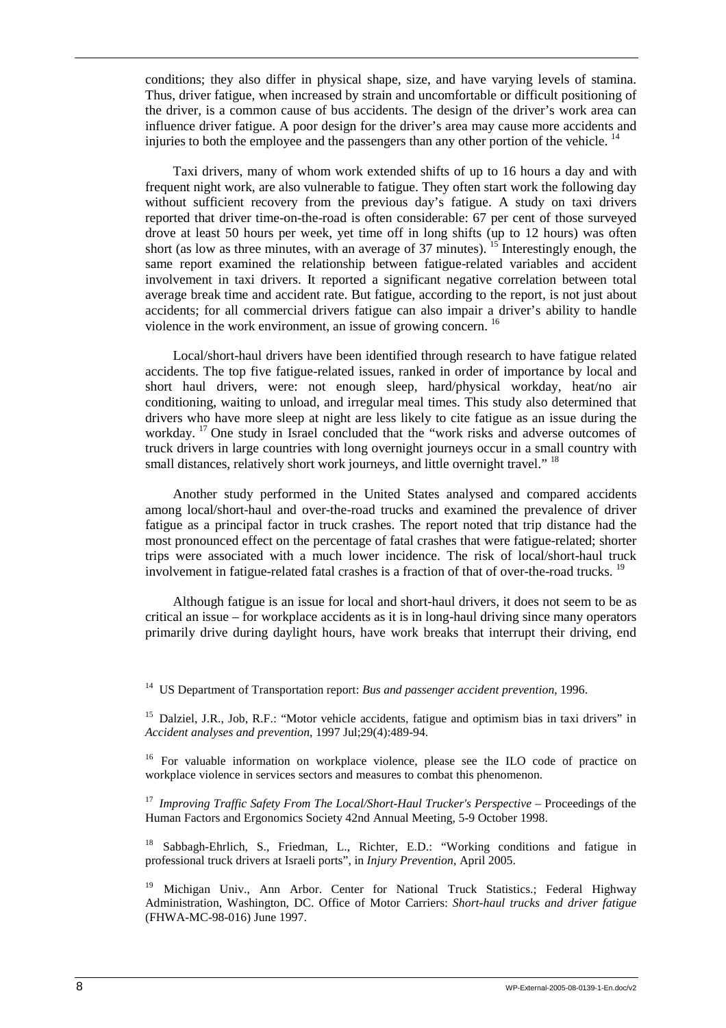conditions; they also differ in physical shape, size, and have varying levels of stamina. Thus, driver fatigue, when increased by strain and uncomfortable or difficult positioning of the driver, is a common cause of bus accidents. The design of the driver's work area can influence driver fatigue. A poor design for the driver's area may cause more accidents and injuries to both the employee and the passengers than any other portion of the vehicle.  $14$ 

Taxi drivers, many of whom work extended shifts of up to 16 hours a day and with frequent night work, are also vulnerable to fatigue. They often start work the following day without sufficient recovery from the previous day's fatigue. A study on taxi drivers reported that driver time-on-the-road is often considerable: 67 per cent of those surveyed drove at least 50 hours per week, yet time off in long shifts (up to 12 hours) was often short (as low as three minutes, with an average of 37 minutes). <sup>15</sup> Interestingly enough, the same report examined the relationship between fatigue-related variables and accident involvement in taxi drivers. It reported a significant negative correlation between total average break time and accident rate. But fatigue, according to the report, is not just about accidents; for all commercial drivers fatigue can also impair a driver's ability to handle violence in the work environment, an issue of growing concern.<sup>16</sup>

Local/short-haul drivers have been identified through research to have fatigue related accidents. The top five fatigue-related issues, ranked in order of importance by local and short haul drivers, were: not enough sleep, hard/physical workday, heat/no air conditioning, waiting to unload, and irregular meal times. This study also determined that drivers who have more sleep at night are less likely to cite fatigue as an issue during the workday. 17 One study in Israel concluded that the "work risks and adverse outcomes of truck drivers in large countries with long overnight journeys occur in a small country with small distances, relatively short work journeys, and little overnight travel."<sup>18</sup>

Another study performed in the United States analysed and compared accidents among local/short-haul and over-the-road trucks and examined the prevalence of driver fatigue as a principal factor in truck crashes. The report noted that trip distance had the most pronounced effect on the percentage of fatal crashes that were fatigue-related; shorter trips were associated with a much lower incidence. The risk of local/short-haul truck involvement in fatigue-related fatal crashes is a fraction of that of over-the-road trucks.<sup>19</sup>

Although fatigue is an issue for local and short-haul drivers, it does not seem to be as critical an issue – for workplace accidents as it is in long-haul driving since many operators primarily drive during daylight hours, have work breaks that interrupt their driving, end

14 US Department of Transportation report: *Bus and passenger accident prevention*, 1996.

<sup>15</sup> Dalziel, J.R., Job, R.F.: "Motor vehicle accidents, fatigue and optimism bias in taxi drivers" in *Accident analyses and prevention*, 1997 Jul;29(4):489-94.

<sup>16</sup> For valuable information on workplace violence, please see the ILO code of practice on workplace violence in services sectors and measures to combat this phenomenon.

<sup>17</sup> Improving Traffic Safety From The Local/Short-Haul Trucker's Perspective – Proceedings of the Human Factors and Ergonomics Society 42nd Annual Meeting, 5-9 October 1998.

18 Sabbagh-Ehrlich, S., Friedman, L., Richter, E.D.: "Working conditions and fatigue in professional truck drivers at Israeli ports", in *Injury Prevention*, April 2005.

<sup>19</sup> Michigan Univ., Ann Arbor. Center for National Truck Statistics.; Federal Highway Administration, Washington, DC. Office of Motor Carriers: *Short-haul trucks and driver fatigue* (FHWA-MC-98-016) June 1997.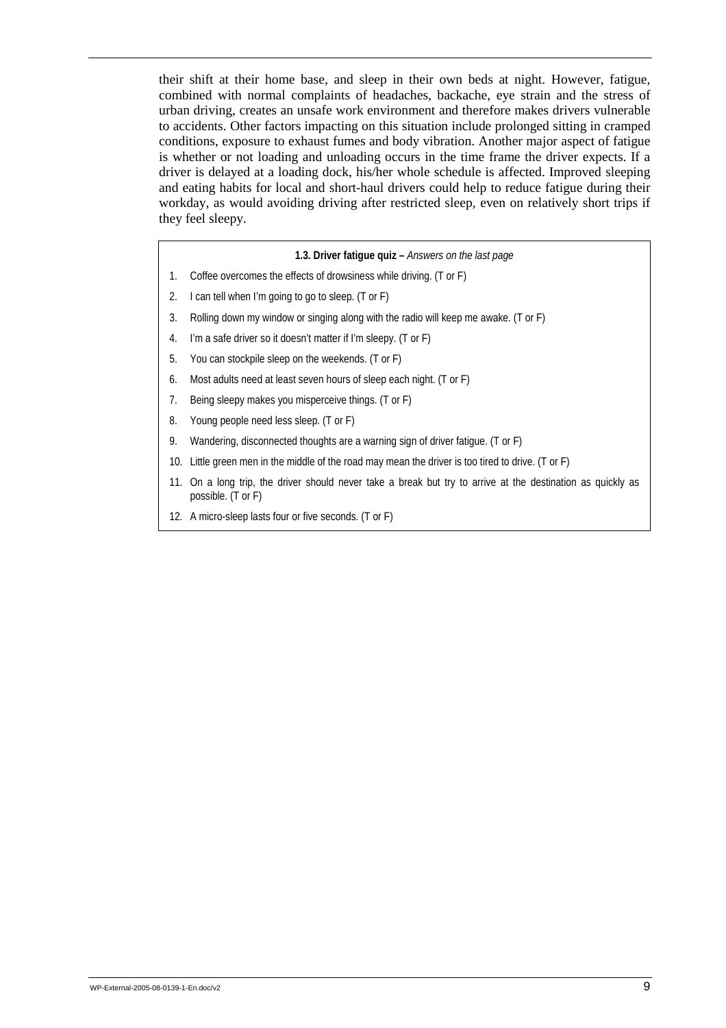their shift at their home base, and sleep in their own beds at night. However, fatigue, combined with normal complaints of headaches, backache, eye strain and the stress of urban driving, creates an unsafe work environment and therefore makes drivers vulnerable to accidents. Other factors impacting on this situation include prolonged sitting in cramped conditions, exposure to exhaust fumes and body vibration. Another major aspect of fatigue is whether or not loading and unloading occurs in the time frame the driver expects. If a driver is delayed at a loading dock, his/her whole schedule is affected. Improved sleeping and eating habits for local and short-haul drivers could help to reduce fatigue during their workday, as would avoiding driving after restricted sleep, even on relatively short trips if they feel sleepy.

#### **1.3. Driver fatigue quiz –** *Answers on the last page*

- 1. Coffee overcomes the effects of drowsiness while driving. (T or F)
- 2. I can tell when I'm going to go to sleep. (T or F)
- 3. Rolling down my window or singing along with the radio will keep me awake. (T or F)
- 4. I'm a safe driver so it doesn't matter if I'm sleepy. (T or F)
- 5. You can stockpile sleep on the weekends. (T or F)
- 6. Most adults need at least seven hours of sleep each night. (T or F)
- 7. Being sleepy makes you misperceive things. (T or F)
- 8. Young people need less sleep. (T or F)
- 9. Wandering, disconnected thoughts are a warning sign of driver fatigue. (T or F)
- 10. Little green men in the middle of the road may mean the driver is too tired to drive. (T or F)
- 11. On a long trip, the driver should never take a break but try to arrive at the destination as quickly as possible. (T or F)
- 12. A micro-sleep lasts four or five seconds. (T or F)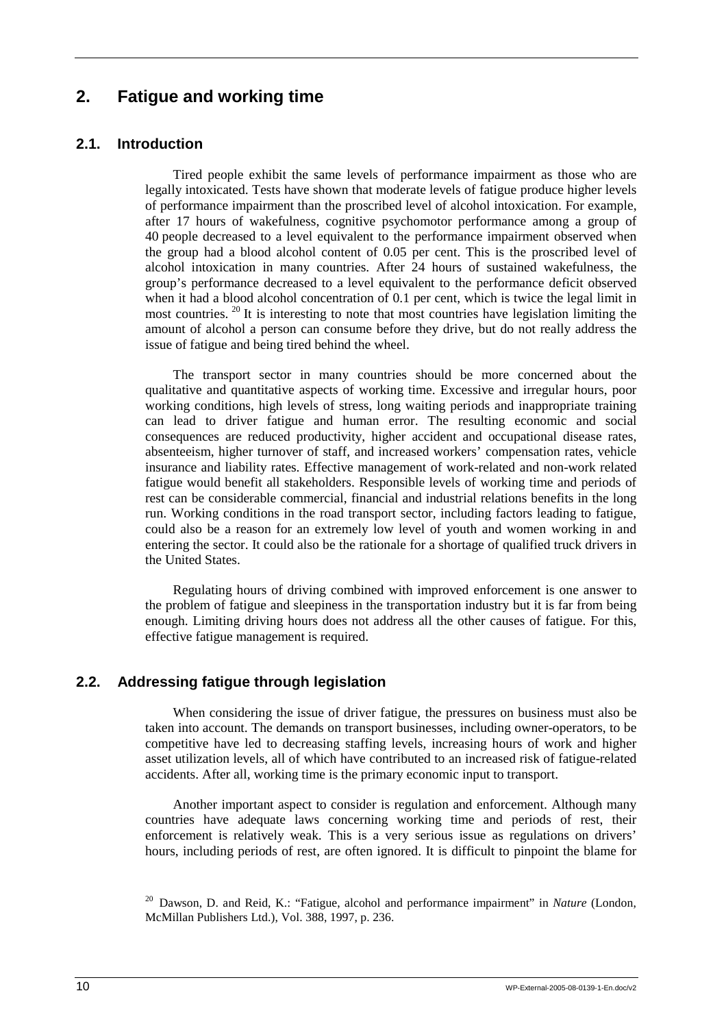# **2. Fatigue and working time**

### **2.1. Introduction**

Tired people exhibit the same levels of performance impairment as those who are legally intoxicated. Tests have shown that moderate levels of fatigue produce higher levels of performance impairment than the proscribed level of alcohol intoxication. For example, after 17 hours of wakefulness, cognitive psychomotor performance among a group of 40 people decreased to a level equivalent to the performance impairment observed when the group had a blood alcohol content of 0.05 per cent. This is the proscribed level of alcohol intoxication in many countries. After 24 hours of sustained wakefulness, the group's performance decreased to a level equivalent to the performance deficit observed when it had a blood alcohol concentration of 0.1 per cent, which is twice the legal limit in most countries.  $20$  It is interesting to note that most countries have legislation limiting the amount of alcohol a person can consume before they drive, but do not really address the issue of fatigue and being tired behind the wheel.

The transport sector in many countries should be more concerned about the qualitative and quantitative aspects of working time. Excessive and irregular hours, poor working conditions, high levels of stress, long waiting periods and inappropriate training can lead to driver fatigue and human error. The resulting economic and social consequences are reduced productivity, higher accident and occupational disease rates, absenteeism, higher turnover of staff, and increased workers' compensation rates, vehicle insurance and liability rates. Effective management of work-related and non-work related fatigue would benefit all stakeholders. Responsible levels of working time and periods of rest can be considerable commercial, financial and industrial relations benefits in the long run. Working conditions in the road transport sector, including factors leading to fatigue, could also be a reason for an extremely low level of youth and women working in and entering the sector. It could also be the rationale for a shortage of qualified truck drivers in the United States.

Regulating hours of driving combined with improved enforcement is one answer to the problem of fatigue and sleepiness in the transportation industry but it is far from being enough. Limiting driving hours does not address all the other causes of fatigue. For this, effective fatigue management is required.

### **2.2. Addressing fatigue through legislation**

When considering the issue of driver fatigue, the pressures on business must also be taken into account. The demands on transport businesses, including owner-operators, to be competitive have led to decreasing staffing levels, increasing hours of work and higher asset utilization levels, all of which have contributed to an increased risk of fatigue-related accidents. After all, working time is the primary economic input to transport.

Another important aspect to consider is regulation and enforcement. Although many countries have adequate laws concerning working time and periods of rest, their enforcement is relatively weak. This is a very serious issue as regulations on drivers' hours, including periods of rest, are often ignored. It is difficult to pinpoint the blame for

<sup>20</sup> Dawson, D. and Reid, K.: "Fatigue, alcohol and performance impairment" in *Nature* (London, McMillan Publishers Ltd.), Vol. 388, 1997, p. 236.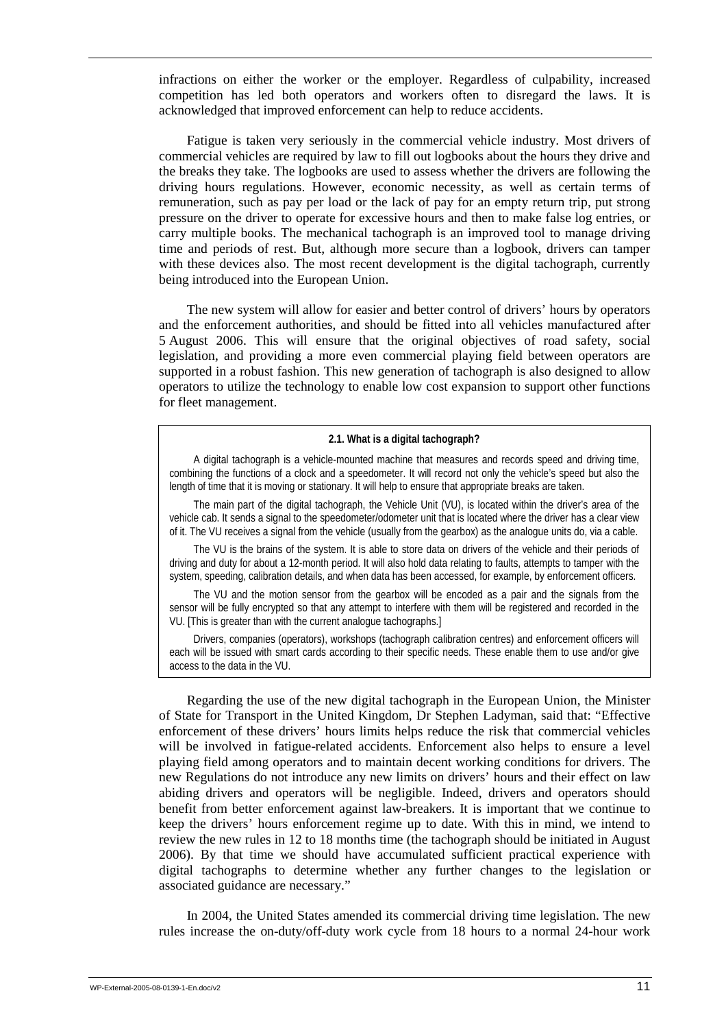infractions on either the worker or the employer. Regardless of culpability, increased competition has led both operators and workers often to disregard the laws. It is acknowledged that improved enforcement can help to reduce accidents.

Fatigue is taken very seriously in the commercial vehicle industry. Most drivers of commercial vehicles are required by law to fill out logbooks about the hours they drive and the breaks they take. The logbooks are used to assess whether the drivers are following the driving hours regulations. However, economic necessity, as well as certain terms of remuneration, such as pay per load or the lack of pay for an empty return trip, put strong pressure on the driver to operate for excessive hours and then to make false log entries, or carry multiple books. The mechanical tachograph is an improved tool to manage driving time and periods of rest. But, although more secure than a logbook, drivers can tamper with these devices also. The most recent development is the digital tachograph, currently being introduced into the European Union.

The new system will allow for easier and better control of drivers' hours by operators and the enforcement authorities, and should be fitted into all vehicles manufactured after 5 August 2006. This will ensure that the original objectives of road safety, social legislation, and providing a more even commercial playing field between operators are supported in a robust fashion. This new generation of tachograph is also designed to allow operators to utilize the technology to enable low cost expansion to support other functions for fleet management.

#### **2.1. What is a digital tachograph?**

A digital tachograph is a vehicle-mounted machine that measures and records speed and driving time, combining the functions of a clock and a speedometer. It will record not only the vehicle's speed but also the length of time that it is moving or stationary. It will help to ensure that appropriate breaks are taken.

The main part of the digital tachograph, the Vehicle Unit (VU), is located within the driver's area of the vehicle cab. It sends a signal to the speedometer/odometer unit that is located where the driver has a clear view of it. The VU receives a signal from the vehicle (usually from the gearbox) as the analogue units do, via a cable.

The VU is the brains of the system. It is able to store data on drivers of the vehicle and their periods of driving and duty for about a 12-month period. It will also hold data relating to faults, attempts to tamper with the system, speeding, calibration details, and when data has been accessed, for example, by enforcement officers.

The VU and the motion sensor from the gearbox will be encoded as a pair and the signals from the sensor will be fully encrypted so that any attempt to interfere with them will be registered and recorded in the VU. [This is greater than with the current analogue tachographs.]

Drivers, companies (operators), workshops (tachograph calibration centres) and enforcement officers will each will be issued with smart cards according to their specific needs. These enable them to use and/or give access to the data in the VU.

Regarding the use of the new digital tachograph in the European Union, the Minister of State for Transport in the United Kingdom, Dr Stephen Ladyman, said that: "Effective enforcement of these drivers' hours limits helps reduce the risk that commercial vehicles will be involved in fatigue-related accidents. Enforcement also helps to ensure a level playing field among operators and to maintain decent working conditions for drivers. The new Regulations do not introduce any new limits on drivers' hours and their effect on law abiding drivers and operators will be negligible. Indeed, drivers and operators should benefit from better enforcement against law-breakers. It is important that we continue to keep the drivers' hours enforcement regime up to date. With this in mind, we intend to review the new rules in 12 to 18 months time (the tachograph should be initiated in August 2006). By that time we should have accumulated sufficient practical experience with digital tachographs to determine whether any further changes to the legislation or associated guidance are necessary."

In 2004, the United States amended its commercial driving time legislation. The new rules increase the on-duty/off-duty work cycle from 18 hours to a normal 24-hour work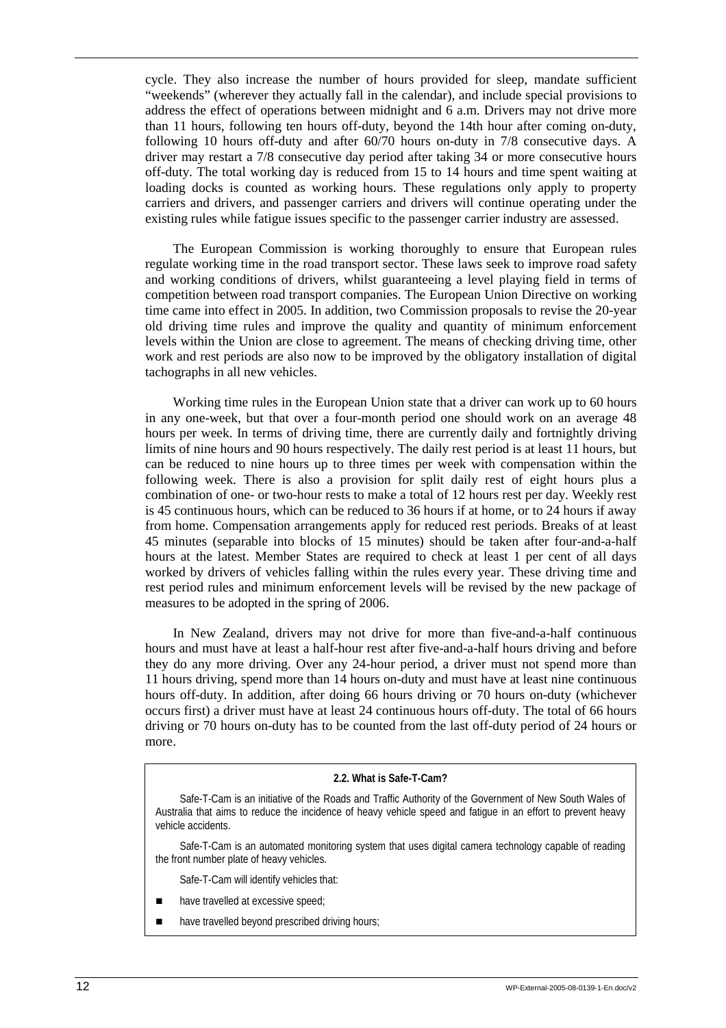cycle. They also increase the number of hours provided for sleep, mandate sufficient "weekends" (wherever they actually fall in the calendar), and include special provisions to address the effect of operations between midnight and 6 a.m. Drivers may not drive more than 11 hours, following ten hours off-duty, beyond the 14th hour after coming on-duty, following 10 hours off-duty and after 60/70 hours on-duty in 7/8 consecutive days. A driver may restart a 7/8 consecutive day period after taking 34 or more consecutive hours off-duty. The total working day is reduced from 15 to 14 hours and time spent waiting at loading docks is counted as working hours. These regulations only apply to property carriers and drivers, and passenger carriers and drivers will continue operating under the existing rules while fatigue issues specific to the passenger carrier industry are assessed.

The European Commission is working thoroughly to ensure that European rules regulate working time in the road transport sector. These laws seek to improve road safety and working conditions of drivers, whilst guaranteeing a level playing field in terms of competition between road transport companies. The European Union Directive on working time came into effect in 2005. In addition, two Commission proposals to revise the 20-year old driving time rules and improve the quality and quantity of minimum enforcement levels within the Union are close to agreement. The means of checking driving time, other work and rest periods are also now to be improved by the obligatory installation of digital tachographs in all new vehicles.

Working time rules in the European Union state that a driver can work up to 60 hours in any one-week, but that over a four-month period one should work on an average 48 hours per week. In terms of driving time, there are currently daily and fortnightly driving limits of nine hours and 90 hours respectively. The daily rest period is at least 11 hours, but can be reduced to nine hours up to three times per week with compensation within the following week. There is also a provision for split daily rest of eight hours plus a combination of one- or two-hour rests to make a total of 12 hours rest per day. Weekly rest is 45 continuous hours, which can be reduced to 36 hours if at home, or to 24 hours if away from home. Compensation arrangements apply for reduced rest periods. Breaks of at least 45 minutes (separable into blocks of 15 minutes) should be taken after four-and-a-half hours at the latest. Member States are required to check at least 1 per cent of all days worked by drivers of vehicles falling within the rules every year. These driving time and rest period rules and minimum enforcement levels will be revised by the new package of measures to be adopted in the spring of 2006.

In New Zealand, drivers may not drive for more than five-and-a-half continuous hours and must have at least a half-hour rest after five-and-a-half hours driving and before they do any more driving. Over any 24-hour period, a driver must not spend more than 11 hours driving, spend more than 14 hours on-duty and must have at least nine continuous hours off-duty. In addition, after doing 66 hours driving or 70 hours on-duty (whichever occurs first) a driver must have at least 24 continuous hours off-duty. The total of 66 hours driving or 70 hours on-duty has to be counted from the last off-duty period of 24 hours or more.

#### **2.2. What is Safe-T-Cam?**

Safe-T-Cam is an initiative of the Roads and Traffic Authority of the Government of New South Wales of Australia that aims to reduce the incidence of heavy vehicle speed and fatigue in an effort to prevent heavy vehicle accidents.

Safe-T-Cam is an automated monitoring system that uses digital camera technology capable of reading the front number plate of heavy vehicles.

Safe-T-Cam will identify vehicles that:

- have travelled at excessive speed;
- have travelled beyond prescribed driving hours;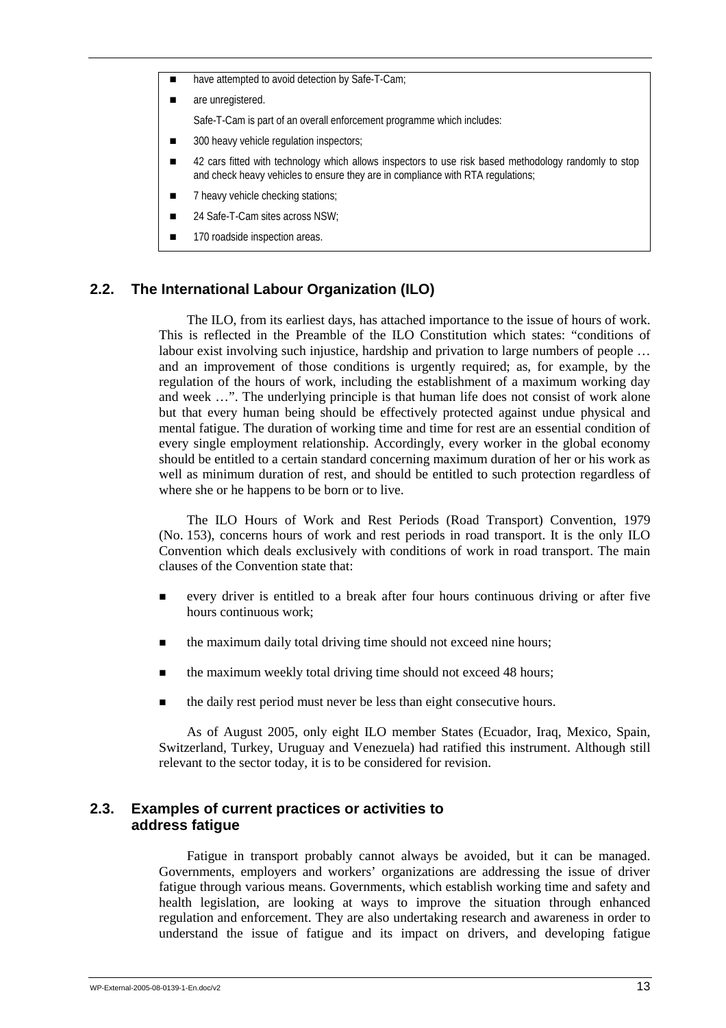- have attempted to avoid detection by Safe-T-Cam;
- are unregistered.

Safe-T-Cam is part of an overall enforcement programme which includes:

- 300 heavy vehicle regulation inspectors:
- 42 cars fitted with technology which allows inspectors to use risk based methodology randomly to stop and check heavy vehicles to ensure they are in compliance with RTA regulations;
- **12.** 7 heavy vehicle checking stations:
- 24 Safe-T-Cam sites across NSW:
- 170 roadside inspection areas.

#### **2.2. The International Labour Organization (ILO)**

The ILO, from its earliest days, has attached importance to the issue of hours of work. This is reflected in the Preamble of the ILO Constitution which states: "conditions of labour exist involving such injustice, hardship and privation to large numbers of people … and an improvement of those conditions is urgently required; as, for example, by the regulation of the hours of work, including the establishment of a maximum working day and week …". The underlying principle is that human life does not consist of work alone but that every human being should be effectively protected against undue physical and mental fatigue. The duration of working time and time for rest are an essential condition of every single employment relationship. Accordingly, every worker in the global economy should be entitled to a certain standard concerning maximum duration of her or his work as well as minimum duration of rest, and should be entitled to such protection regardless of where she or he happens to be born or to live.

The ILO Hours of Work and Rest Periods (Road Transport) Convention, 1979 (No. 153), concerns hours of work and rest periods in road transport. It is the only ILO Convention which deals exclusively with conditions of work in road transport. The main clauses of the Convention state that:

- ! every driver is entitled to a break after four hours continuous driving or after five hours continuous work;
- the maximum daily total driving time should not exceed nine hours;
- the maximum weekly total driving time should not exceed 48 hours;
- ! the daily rest period must never be less than eight consecutive hours.

As of August 2005, only eight ILO member States (Ecuador, Iraq, Mexico, Spain, Switzerland, Turkey, Uruguay and Venezuela) had ratified this instrument. Although still relevant to the sector today, it is to be considered for revision.

#### **2.3. Examples of current practices or activities to address fatigue**

Fatigue in transport probably cannot always be avoided, but it can be managed. Governments, employers and workers' organizations are addressing the issue of driver fatigue through various means. Governments, which establish working time and safety and health legislation, are looking at ways to improve the situation through enhanced regulation and enforcement. They are also undertaking research and awareness in order to understand the issue of fatigue and its impact on drivers, and developing fatigue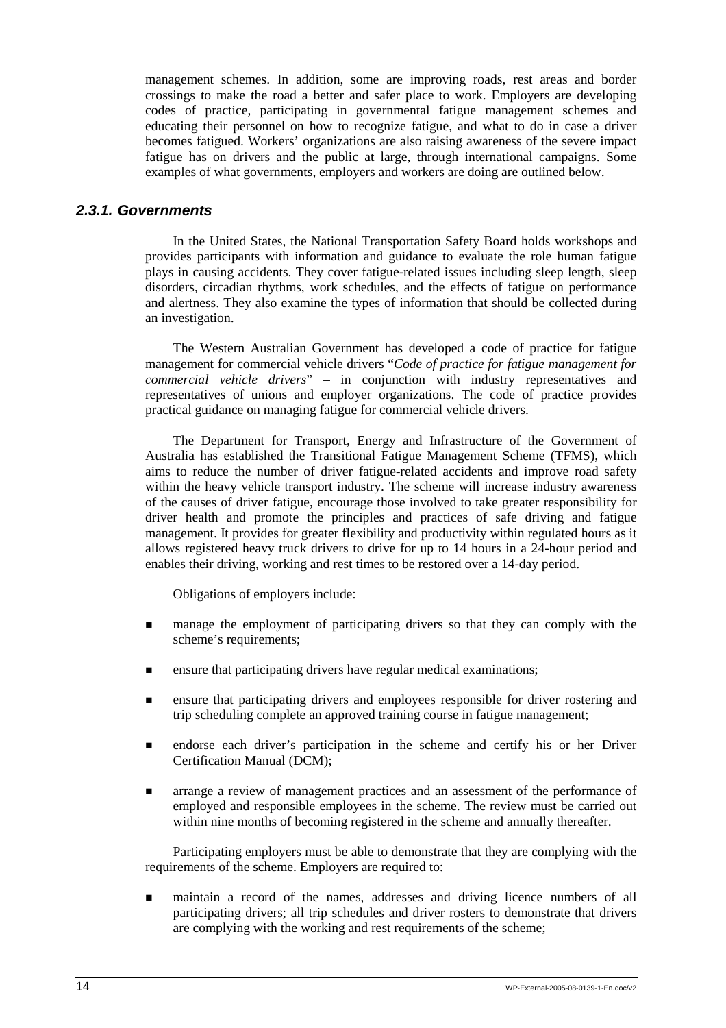management schemes. In addition, some are improving roads, rest areas and border crossings to make the road a better and safer place to work. Employers are developing codes of practice, participating in governmental fatigue management schemes and educating their personnel on how to recognize fatigue, and what to do in case a driver becomes fatigued. Workers' organizations are also raising awareness of the severe impact fatigue has on drivers and the public at large, through international campaigns. Some examples of what governments, employers and workers are doing are outlined below.

### *2.3.1. Governments*

In the United States, the National Transportation Safety Board holds workshops and provides participants with information and guidance to evaluate the role human fatigue plays in causing accidents. They cover fatigue-related issues including sleep length, sleep disorders, circadian rhythms, work schedules, and the effects of fatigue on performance and alertness. They also examine the types of information that should be collected during an investigation.

The Western Australian Government has developed a code of practice for fatigue management for commercial vehicle drivers "*Code of practice for fatigue management for commercial vehicle drivers*" – in conjunction with industry representatives and representatives of unions and employer organizations. The code of practice provides practical guidance on managing fatigue for commercial vehicle drivers.

The Department for Transport, Energy and Infrastructure of the Government of Australia has established the Transitional Fatigue Management Scheme (TFMS), which aims to reduce the number of driver fatigue-related accidents and improve road safety within the heavy vehicle transport industry. The scheme will increase industry awareness of the causes of driver fatigue, encourage those involved to take greater responsibility for driver health and promote the principles and practices of safe driving and fatigue management. It provides for greater flexibility and productivity within regulated hours as it allows registered heavy truck drivers to drive for up to 14 hours in a 24-hour period and enables their driving, working and rest times to be restored over a 14-day period.

Obligations of employers include:

- **If** manage the employment of participating drivers so that they can comply with the scheme's requirements;
- **EXECUTE:** ensure that participating drivers have regular medical examinations;
- **Exercise 1** ensure that participating drivers and employees responsible for driver rostering and trip scheduling complete an approved training course in fatigue management;
- ! endorse each driver's participation in the scheme and certify his or her Driver Certification Manual (DCM);
- ! arrange a review of management practices and an assessment of the performance of employed and responsible employees in the scheme. The review must be carried out within nine months of becoming registered in the scheme and annually thereafter.

Participating employers must be able to demonstrate that they are complying with the requirements of the scheme. Employers are required to:

! maintain a record of the names, addresses and driving licence numbers of all participating drivers; all trip schedules and driver rosters to demonstrate that drivers are complying with the working and rest requirements of the scheme;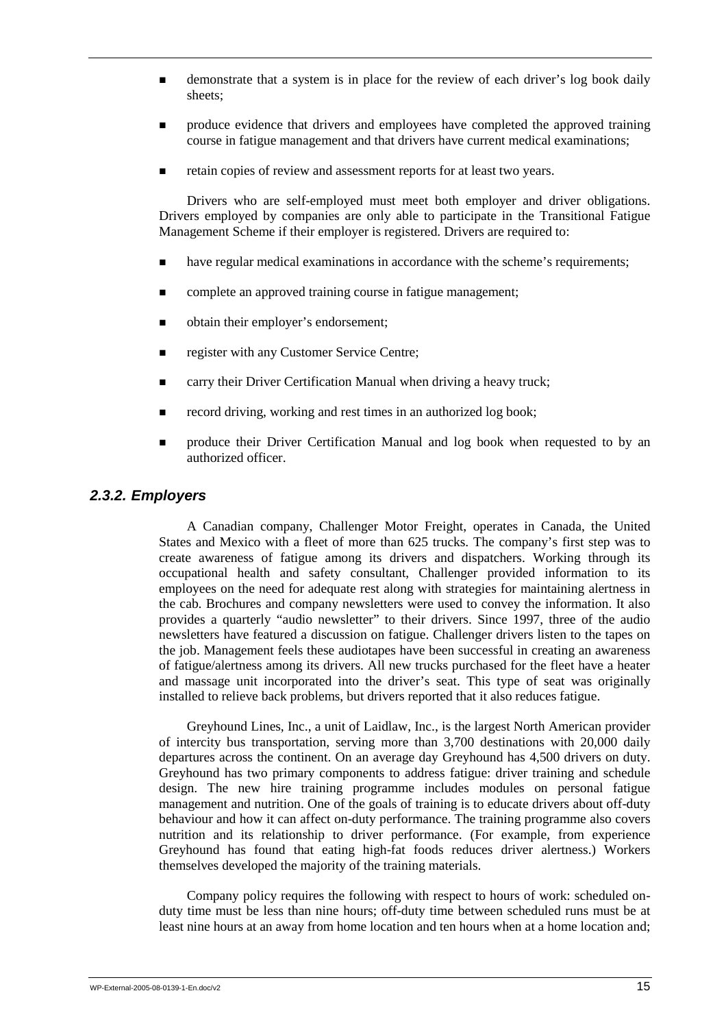- $\blacksquare$  demonstrate that a system is in place for the review of each driver's log book daily sheets;
- ! produce evidence that drivers and employees have completed the approved training course in fatigue management and that drivers have current medical examinations;
- ! retain copies of review and assessment reports for at least two years.

Drivers who are self-employed must meet both employer and driver obligations. Drivers employed by companies are only able to participate in the Transitional Fatigue Management Scheme if their employer is registered. Drivers are required to:

- ! have regular medical examinations in accordance with the scheme's requirements;
- complete an approved training course in fatigue management;
- obtain their employer's endorsement:
- register with any Customer Service Centre;
- ! carry their Driver Certification Manual when driving a heavy truck;
- record driving, working and rest times in an authorized log book;
- ! produce their Driver Certification Manual and log book when requested to by an authorized officer.

#### *2.3.2. Employers*

A Canadian company, Challenger Motor Freight, operates in Canada, the United States and Mexico with a fleet of more than 625 trucks. The company's first step was to create awareness of fatigue among its drivers and dispatchers. Working through its occupational health and safety consultant, Challenger provided information to its employees on the need for adequate rest along with strategies for maintaining alertness in the cab. Brochures and company newsletters were used to convey the information. It also provides a quarterly "audio newsletter" to their drivers. Since 1997, three of the audio newsletters have featured a discussion on fatigue. Challenger drivers listen to the tapes on the job. Management feels these audiotapes have been successful in creating an awareness of fatigue/alertness among its drivers. All new trucks purchased for the fleet have a heater and massage unit incorporated into the driver's seat. This type of seat was originally installed to relieve back problems, but drivers reported that it also reduces fatigue.

Greyhound Lines, Inc., a unit of Laidlaw, Inc., is the largest North American provider of intercity bus transportation, serving more than 3,700 destinations with 20,000 daily departures across the continent. On an average day Greyhound has 4,500 drivers on duty. Greyhound has two primary components to address fatigue: driver training and schedule design. The new hire training programme includes modules on personal fatigue management and nutrition. One of the goals of training is to educate drivers about off-duty behaviour and how it can affect on-duty performance. The training programme also covers nutrition and its relationship to driver performance. (For example, from experience Greyhound has found that eating high-fat foods reduces driver alertness.) Workers themselves developed the majority of the training materials.

Company policy requires the following with respect to hours of work: scheduled onduty time must be less than nine hours; off-duty time between scheduled runs must be at least nine hours at an away from home location and ten hours when at a home location and;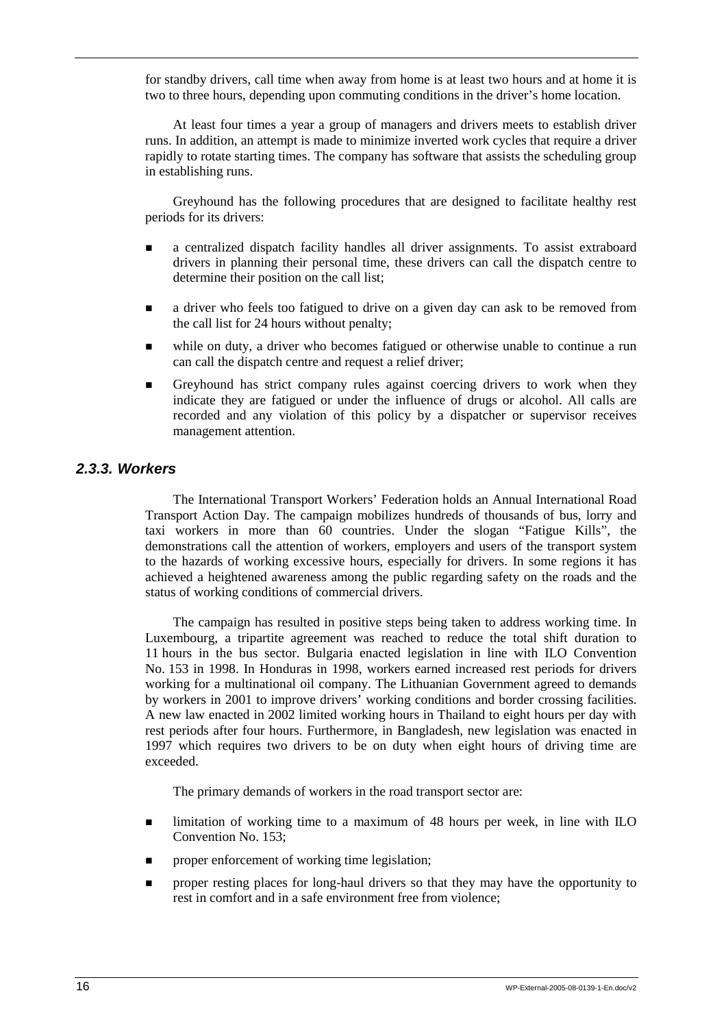for standby drivers, call time when away from home is at least two hours and at home it is two to three hours, depending upon commuting conditions in the driver's home location.

At least four times a year a group of managers and drivers meets to establish driver runs. In addition, an attempt is made to minimize inverted work cycles that require a driver rapidly to rotate starting times. The company has software that assists the scheduling group in establishing runs.

Greyhound has the following procedures that are designed to facilitate healthy rest periods for its drivers:

- ! a centralized dispatch facility handles all driver assignments. To assist extraboard drivers in planning their personal time, these drivers can call the dispatch centre to determine their position on the call list;
- **a** a driver who feels too fatigued to drive on a given day can ask to be removed from the call list for 24 hours without penalty;
- ! while on duty, a driver who becomes fatigued or otherwise unable to continue a run can call the dispatch centre and request a relief driver;
- **Exercise 1** Greyhound has strict company rules against coercing drivers to work when they indicate they are fatigued or under the influence of drugs or alcohol. All calls are recorded and any violation of this policy by a dispatcher or supervisor receives management attention.

### *2.3.3. Workers*

The International Transport Workers' Federation holds an Annual International Road Transport Action Day. The campaign mobilizes hundreds of thousands of bus, lorry and taxi workers in more than 60 countries. Under the slogan "Fatigue Kills", the demonstrations call the attention of workers, employers and users of the transport system to the hazards of working excessive hours, especially for drivers. In some regions it has achieved a heightened awareness among the public regarding safety on the roads and the status of working conditions of commercial drivers.

The campaign has resulted in positive steps being taken to address working time. In Luxembourg, a tripartite agreement was reached to reduce the total shift duration to 11 hours in the bus sector. Bulgaria enacted legislation in line with ILO Convention No. 153 in 1998. In Honduras in 1998, workers earned increased rest periods for drivers working for a multinational oil company. The Lithuanian Government agreed to demands by workers in 2001 to improve drivers' working conditions and border crossing facilities. A new law enacted in 2002 limited working hours in Thailand to eight hours per day with rest periods after four hours. Furthermore, in Bangladesh, new legislation was enacted in 1997 which requires two drivers to be on duty when eight hours of driving time are exceeded.

The primary demands of workers in the road transport sector are:

- ! limitation of working time to a maximum of 48 hours per week, in line with ILO Convention No. 153;
- $\blacksquare$  proper enforcement of working time legislation;
- **If** proper resting places for long-haul drivers so that they may have the opportunity to rest in comfort and in a safe environment free from violence;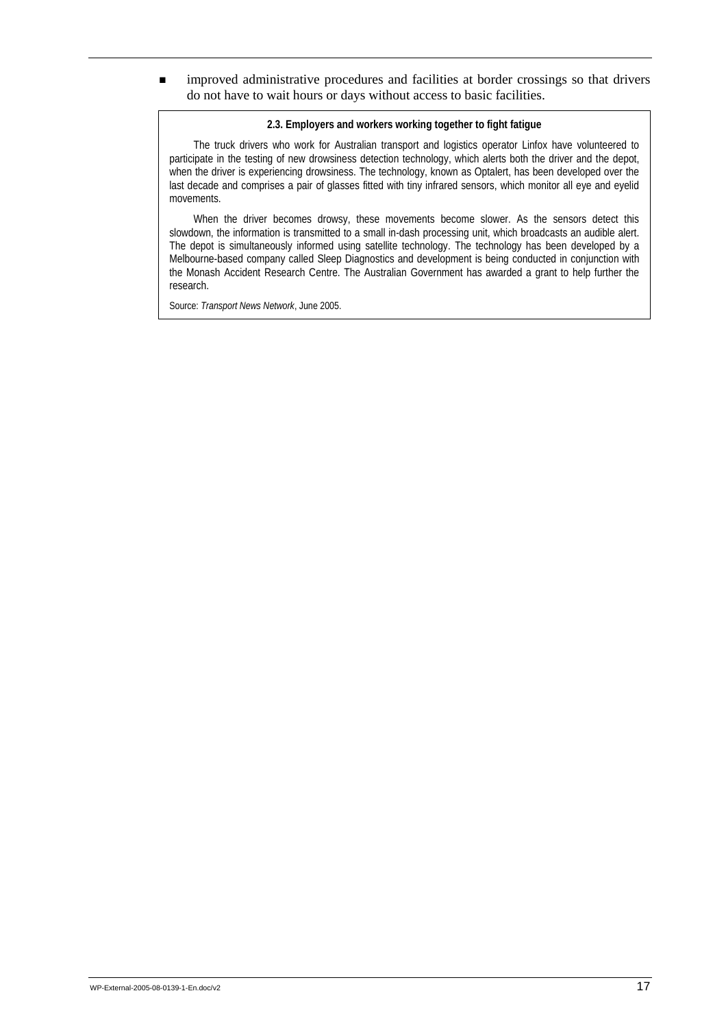! improved administrative procedures and facilities at border crossings so that drivers do not have to wait hours or days without access to basic facilities.

#### **2.3. Employers and workers working together to fight fatigue**

The truck drivers who work for Australian transport and logistics operator Linfox have volunteered to participate in the testing of new drowsiness detection technology, which alerts both the driver and the depot, when the driver is experiencing drowsiness. The technology, known as Optalert, has been developed over the last decade and comprises a pair of glasses fitted with tiny infrared sensors, which monitor all eye and eyelid movements.

When the driver becomes drowsy, these movements become slower. As the sensors detect this slowdown, the information is transmitted to a small in-dash processing unit, which broadcasts an audible alert. The depot is simultaneously informed using satellite technology. The technology has been developed by a Melbourne-based company called Sleep Diagnostics and development is being conducted in conjunction with the Monash Accident Research Centre. The Australian Government has awarded a grant to help further the research.

Source: *Transport News Network*, June 2005.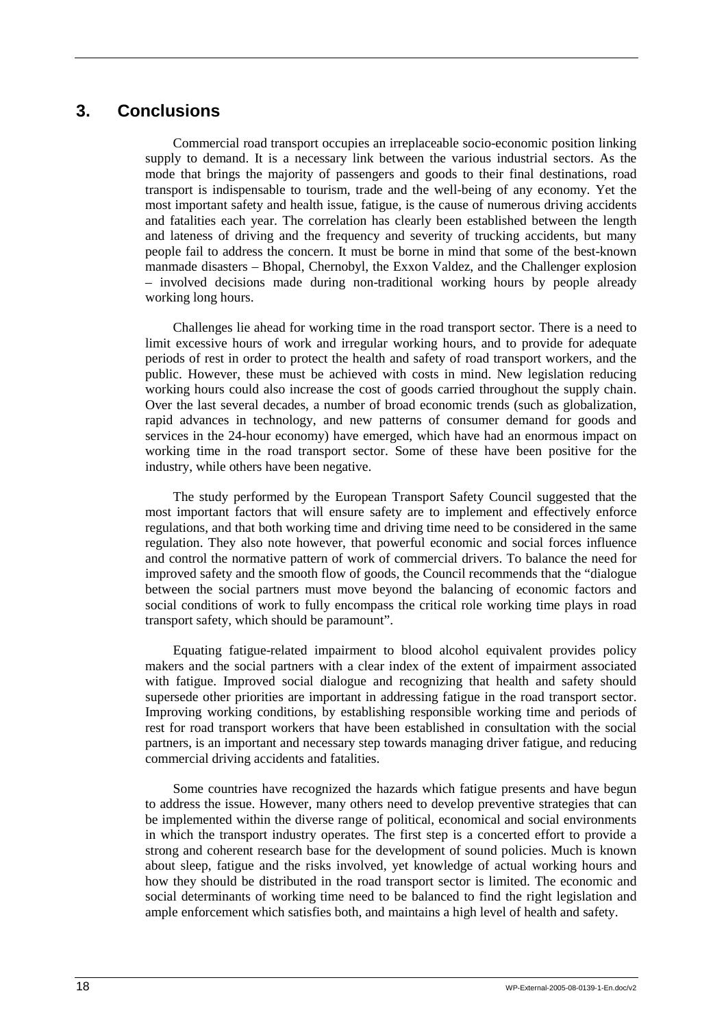# **3. Conclusions**

Commercial road transport occupies an irreplaceable socio-economic position linking supply to demand. It is a necessary link between the various industrial sectors. As the mode that brings the majority of passengers and goods to their final destinations, road transport is indispensable to tourism, trade and the well-being of any economy. Yet the most important safety and health issue, fatigue, is the cause of numerous driving accidents and fatalities each year. The correlation has clearly been established between the length and lateness of driving and the frequency and severity of trucking accidents, but many people fail to address the concern. It must be borne in mind that some of the best-known manmade disasters – Bhopal, Chernobyl, the Exxon Valdez, and the Challenger explosion – involved decisions made during non-traditional working hours by people already working long hours.

Challenges lie ahead for working time in the road transport sector. There is a need to limit excessive hours of work and irregular working hours, and to provide for adequate periods of rest in order to protect the health and safety of road transport workers, and the public. However, these must be achieved with costs in mind. New legislation reducing working hours could also increase the cost of goods carried throughout the supply chain. Over the last several decades, a number of broad economic trends (such as globalization, rapid advances in technology, and new patterns of consumer demand for goods and services in the 24-hour economy) have emerged, which have had an enormous impact on working time in the road transport sector. Some of these have been positive for the industry, while others have been negative.

The study performed by the European Transport Safety Council suggested that the most important factors that will ensure safety are to implement and effectively enforce regulations, and that both working time and driving time need to be considered in the same regulation. They also note however, that powerful economic and social forces influence and control the normative pattern of work of commercial drivers. To balance the need for improved safety and the smooth flow of goods, the Council recommends that the "dialogue between the social partners must move beyond the balancing of economic factors and social conditions of work to fully encompass the critical role working time plays in road transport safety, which should be paramount".

Equating fatigue-related impairment to blood alcohol equivalent provides policy makers and the social partners with a clear index of the extent of impairment associated with fatigue. Improved social dialogue and recognizing that health and safety should supersede other priorities are important in addressing fatigue in the road transport sector. Improving working conditions, by establishing responsible working time and periods of rest for road transport workers that have been established in consultation with the social partners, is an important and necessary step towards managing driver fatigue, and reducing commercial driving accidents and fatalities.

Some countries have recognized the hazards which fatigue presents and have begun to address the issue. However, many others need to develop preventive strategies that can be implemented within the diverse range of political, economical and social environments in which the transport industry operates. The first step is a concerted effort to provide a strong and coherent research base for the development of sound policies. Much is known about sleep, fatigue and the risks involved, yet knowledge of actual working hours and how they should be distributed in the road transport sector is limited. The economic and social determinants of working time need to be balanced to find the right legislation and ample enforcement which satisfies both, and maintains a high level of health and safety.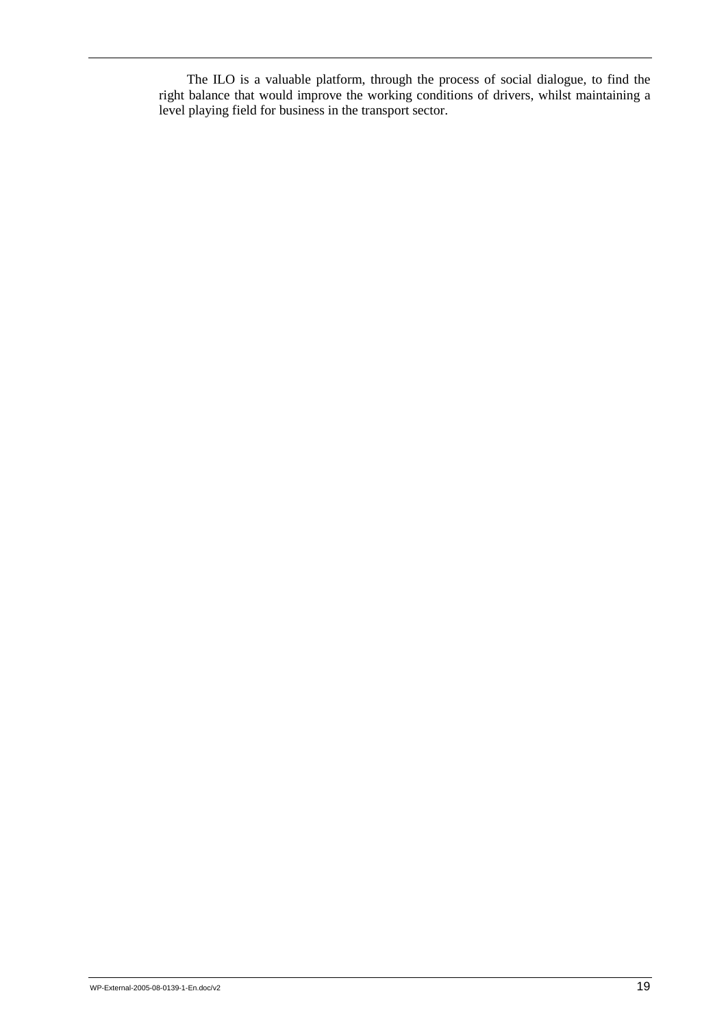The ILO is a valuable platform, through the process of social dialogue, to find the right balance that would improve the working conditions of drivers, whilst maintaining a level playing field for business in the transport sector.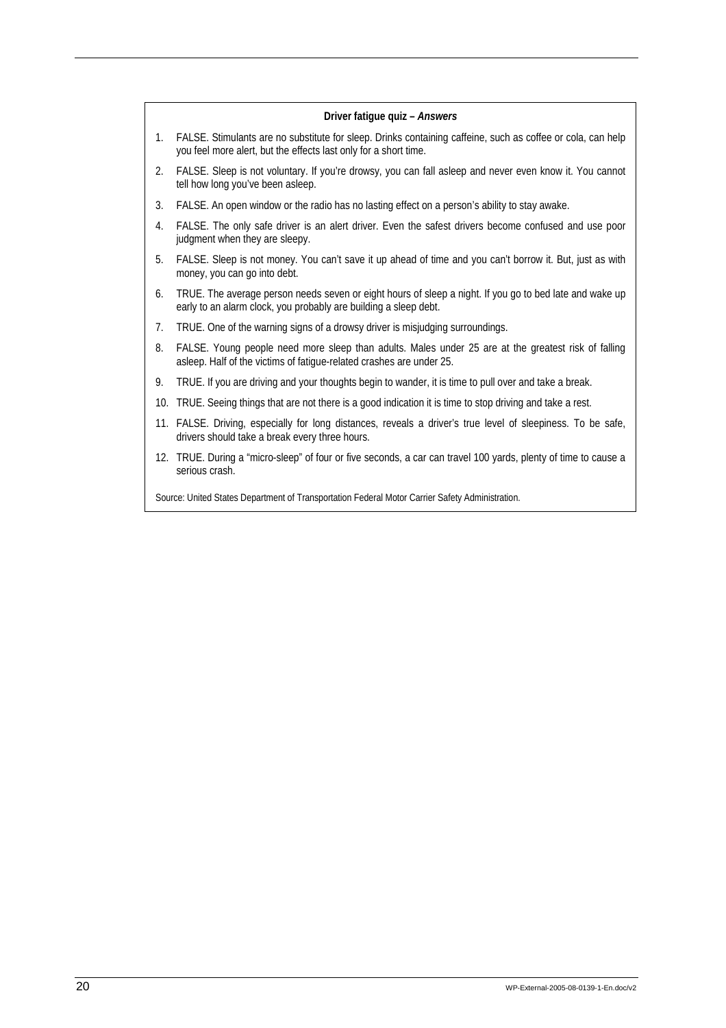|    | Driver fatique quiz - Answers                                                                                                                                                   |
|----|---------------------------------------------------------------------------------------------------------------------------------------------------------------------------------|
| 1. | FALSE. Stimulants are no substitute for sleep. Drinks containing caffeine, such as coffee or cola, can help<br>you feel more alert, but the effects last only for a short time. |
| 2. | FALSE. Sleep is not voluntary. If you're drowsy, you can fall asleep and never even know it. You cannot<br>tell how long you've been asleep.                                    |
| 3. | FALSE. An open window or the radio has no lasting effect on a person's ability to stay awake.                                                                                   |
| 4. | FALSE. The only safe driver is an alert driver. Even the safest drivers become confused and use poor<br>judgment when they are sleepy.                                          |
| 5. | FALSE. Sleep is not money. You can't save it up ahead of time and you can't borrow it. But, just as with<br>money, you can go into debt.                                        |
| 6. | TRUE. The average person needs seven or eight hours of sleep a night. If you go to bed late and wake up<br>early to an alarm clock, you probably are building a sleep debt.     |
| 7. | TRUE. One of the warning signs of a drowsy driver is misjudging surroundings.                                                                                                   |
| 8. | FALSE. Young people need more sleep than adults. Males under 25 are at the greatest risk of falling<br>asleep. Half of the victims of fatigue-related crashes are under 25.     |
| 9. | TRUE. If you are driving and your thoughts begin to wander, it is time to pull over and take a break.                                                                           |
|    | 10. TRUE. Seeing things that are not there is a good indication it is time to stop driving and take a rest.                                                                     |
|    | 11. FALSE. Driving, especially for long distances, reveals a driver's true level of sleepiness. To be safe,<br>drivers should take a break every three hours.                   |
|    | 12. TRUE. During a "micro-sleep" of four or five seconds, a car can travel 100 yards, plenty of time to cause a<br>serious crash.                                               |
|    | Source: United States Department of Transportation Federal Motor Carrier Safety Administration.                                                                                 |
|    |                                                                                                                                                                                 |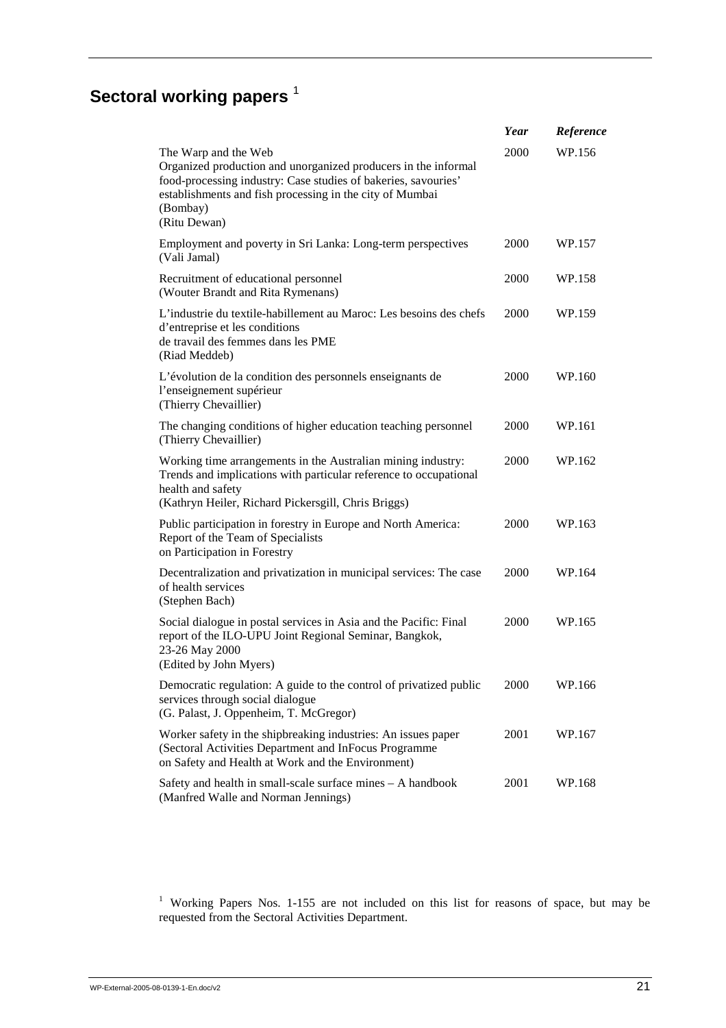# **Sectoral working papers**<sup>1</sup>

|                                                                                                                                                                                                                                                  | Year | Reference |
|--------------------------------------------------------------------------------------------------------------------------------------------------------------------------------------------------------------------------------------------------|------|-----------|
| The Warp and the Web<br>Organized production and unorganized producers in the informal<br>food-processing industry: Case studies of bakeries, savouries'<br>establishments and fish processing in the city of Mumbai<br>(Bombay)<br>(Ritu Dewan) | 2000 | WP.156    |
| Employment and poverty in Sri Lanka: Long-term perspectives<br>(Vali Jamal)                                                                                                                                                                      | 2000 | WP.157    |
| Recruitment of educational personnel<br>(Wouter Brandt and Rita Rymenans)                                                                                                                                                                        | 2000 | WP.158    |
| L'industrie du textile-habillement au Maroc: Les besoins des chefs<br>d'entreprise et les conditions<br>de travail des femmes dans les PME<br>(Riad Meddeb)                                                                                      | 2000 | WP.159    |
| L'évolution de la condition des personnels enseignants de<br>l'enseignement supérieur<br>(Thierry Chevaillier)                                                                                                                                   | 2000 | WP.160    |
| The changing conditions of higher education teaching personnel<br>(Thierry Chevaillier)                                                                                                                                                          | 2000 | WP.161    |
| Working time arrangements in the Australian mining industry:<br>Trends and implications with particular reference to occupational<br>health and safety<br>(Kathryn Heiler, Richard Pickersgill, Chris Briggs)                                    | 2000 | WP.162    |
| Public participation in forestry in Europe and North America:<br>Report of the Team of Specialists<br>on Participation in Forestry                                                                                                               | 2000 | WP.163    |
| Decentralization and privatization in municipal services: The case<br>of health services<br>(Stephen Bach)                                                                                                                                       | 2000 | WP.164    |
| Social dialogue in postal services in Asia and the Pacific: Final<br>report of the ILO-UPU Joint Regional Seminar, Bangkok,<br>23-26 May 2000<br>(Edited by John Myers)                                                                          | 2000 | WP.165    |
| Democratic regulation: A guide to the control of privatized public<br>services through social dialogue<br>(G. Palast, J. Oppenheim, T. McGregor)                                                                                                 | 2000 | WP.166    |
| Worker safety in the shipbreaking industries: An issues paper<br>(Sectoral Activities Department and InFocus Programme<br>on Safety and Health at Work and the Environment)                                                                      | 2001 | WP.167    |
| Safety and health in small-scale surface mines - A handbook<br>(Manfred Walle and Norman Jennings)                                                                                                                                               | 2001 | WP.168    |

<sup>1</sup> Working Papers Nos. 1-155 are not included on this list for reasons of space, but may be requested from the Sectoral Activities Department.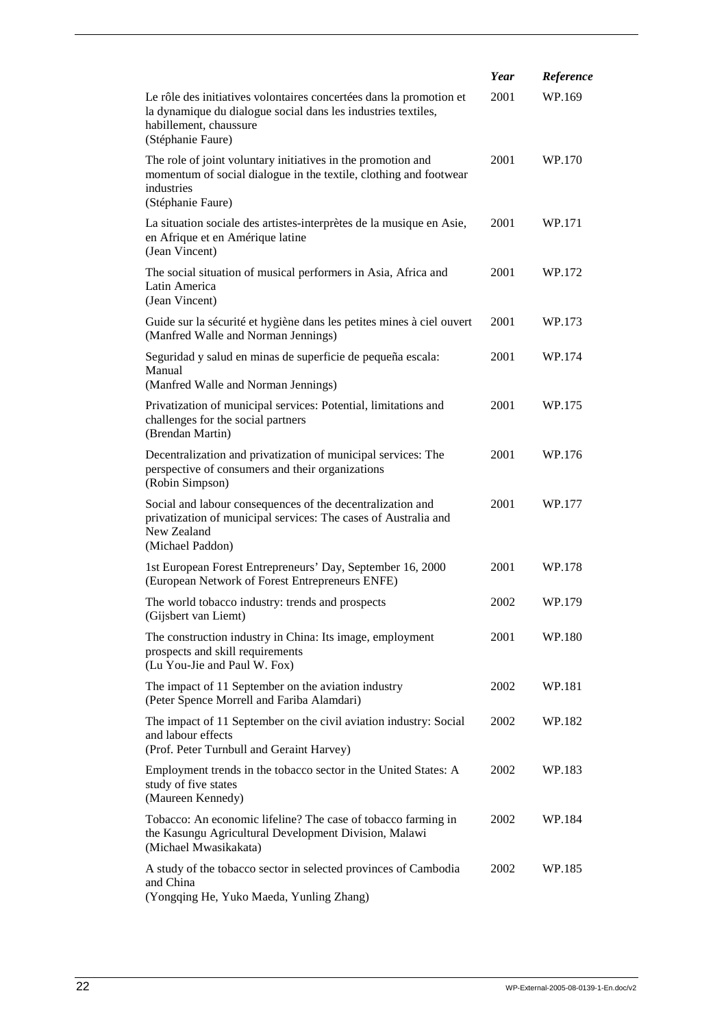|                                                                                                                                                                                     | Year | Reference |
|-------------------------------------------------------------------------------------------------------------------------------------------------------------------------------------|------|-----------|
| Le rôle des initiatives volontaires concertées dans la promotion et<br>la dynamique du dialogue social dans les industries textiles,<br>habillement, chaussure<br>(Stéphanie Faure) | 2001 | WP.169    |
| The role of joint voluntary initiatives in the promotion and<br>momentum of social dialogue in the textile, clothing and footwear<br>industries<br>(Stéphanie Faure)                | 2001 | WP.170    |
| La situation sociale des artistes-interprètes de la musique en Asie,<br>en Afrique et en Amérique latine<br>(Jean Vincent)                                                          | 2001 | WP.171    |
| The social situation of musical performers in Asia, Africa and<br>Latin America<br>(Jean Vincent)                                                                                   | 2001 | WP.172    |
| Guide sur la sécurité et hygiène dans les petites mines à ciel ouvert<br>(Manfred Walle and Norman Jennings)                                                                        | 2001 | WP.173    |
| Seguridad y salud en minas de superficie de pequeña escala:<br>Manual<br>(Manfred Walle and Norman Jennings)                                                                        | 2001 | WP.174    |
| Privatization of municipal services: Potential, limitations and<br>challenges for the social partners<br>(Brendan Martin)                                                           | 2001 | WP.175    |
| Decentralization and privatization of municipal services: The<br>perspective of consumers and their organizations<br>(Robin Simpson)                                                | 2001 | WP.176    |
| Social and labour consequences of the decentralization and<br>privatization of municipal services: The cases of Australia and<br>New Zealand<br>(Michael Paddon)                    | 2001 | WP.177    |
| 1st European Forest Entrepreneurs' Day, September 16, 2000<br>(European Network of Forest Entrepreneurs ENFE)                                                                       | 2001 | WP.178    |
| The world tobacco industry: trends and prospects<br>(Gijsbert van Liemt)                                                                                                            | 2002 | WP.179    |
| The construction industry in China: Its image, employment<br>prospects and skill requirements<br>(Lu You-Jie and Paul W. Fox)                                                       | 2001 | WP.180    |
| The impact of 11 September on the aviation industry<br>(Peter Spence Morrell and Fariba Alamdari)                                                                                   | 2002 | WP.181    |
| The impact of 11 September on the civil aviation industry: Social<br>and labour effects<br>(Prof. Peter Turnbull and Geraint Harvey)                                                | 2002 | WP.182    |
| Employment trends in the tobacco sector in the United States: A<br>study of five states<br>(Maureen Kennedy)                                                                        | 2002 | WP.183    |
| Tobacco: An economic lifeline? The case of tobacco farming in<br>the Kasungu Agricultural Development Division, Malawi<br>(Michael Mwasikakata)                                     | 2002 | WP.184    |
| A study of the tobacco sector in selected provinces of Cambodia<br>and China<br>(Yongqing He, Yuko Maeda, Yunling Zhang)                                                            | 2002 | WP.185    |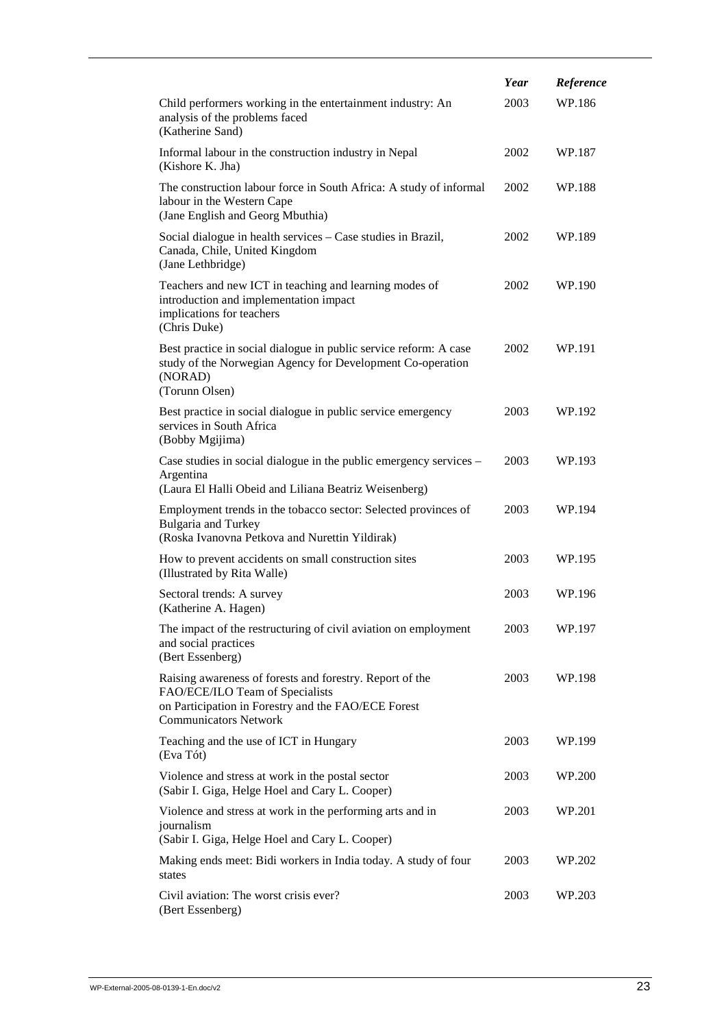|                                                                                                                                                                                    | Year | Reference |
|------------------------------------------------------------------------------------------------------------------------------------------------------------------------------------|------|-----------|
| Child performers working in the entertainment industry: An<br>analysis of the problems faced<br>(Katherine Sand)                                                                   | 2003 | WP.186    |
| Informal labour in the construction industry in Nepal<br>(Kishore K. Jha)                                                                                                          | 2002 | WP.187    |
| The construction labour force in South Africa: A study of informal<br>labour in the Western Cape<br>(Jane English and Georg Mbuthia)                                               | 2002 | WP.188    |
| Social dialogue in health services – Case studies in Brazil,<br>Canada, Chile, United Kingdom<br>(Jane Lethbridge)                                                                 | 2002 | WP.189    |
| Teachers and new ICT in teaching and learning modes of<br>introduction and implementation impact<br>implications for teachers<br>(Chris Duke)                                      | 2002 | WP.190    |
| Best practice in social dialogue in public service reform: A case<br>study of the Norwegian Agency for Development Co-operation<br>(NORAD)<br>(Torunn Olsen)                       | 2002 | WP.191    |
| Best practice in social dialogue in public service emergency<br>services in South Africa<br>(Bobby Mgijima)                                                                        | 2003 | WP.192    |
| Case studies in social dialogue in the public emergency services -<br>Argentina<br>(Laura El Halli Obeid and Liliana Beatriz Weisenberg)                                           | 2003 | WP.193    |
| Employment trends in the tobacco sector: Selected provinces of<br><b>Bulgaria and Turkey</b><br>(Roska Ivanovna Petkova and Nurettin Yildirak)                                     | 2003 | WP.194    |
| How to prevent accidents on small construction sites<br>(Illustrated by Rita Walle)                                                                                                | 2003 | WP.195    |
| Sectoral trends: A survey<br>(Katherine A. Hagen)                                                                                                                                  | 2003 | WP.196    |
| The impact of the restructuring of civil aviation on employment<br>and social practices<br>(Bert Essenberg)                                                                        | 2003 | WP.197    |
| Raising awareness of forests and forestry. Report of the<br>FAO/ECE/ILO Team of Specialists<br>on Participation in Forestry and the FAO/ECE Forest<br><b>Communicators Network</b> | 2003 | WP.198    |
| Teaching and the use of ICT in Hungary<br>(Eva Tót)                                                                                                                                | 2003 | WP.199    |
| Violence and stress at work in the postal sector<br>(Sabir I. Giga, Helge Hoel and Cary L. Cooper)                                                                                 | 2003 | WP.200    |
| Violence and stress at work in the performing arts and in<br>journalism<br>(Sabir I. Giga, Helge Hoel and Cary L. Cooper)                                                          | 2003 | WP.201    |
| Making ends meet: Bidi workers in India today. A study of four<br>states                                                                                                           | 2003 | WP.202    |
| Civil aviation: The worst crisis ever?<br>(Bert Essenberg)                                                                                                                         | 2003 | WP.203    |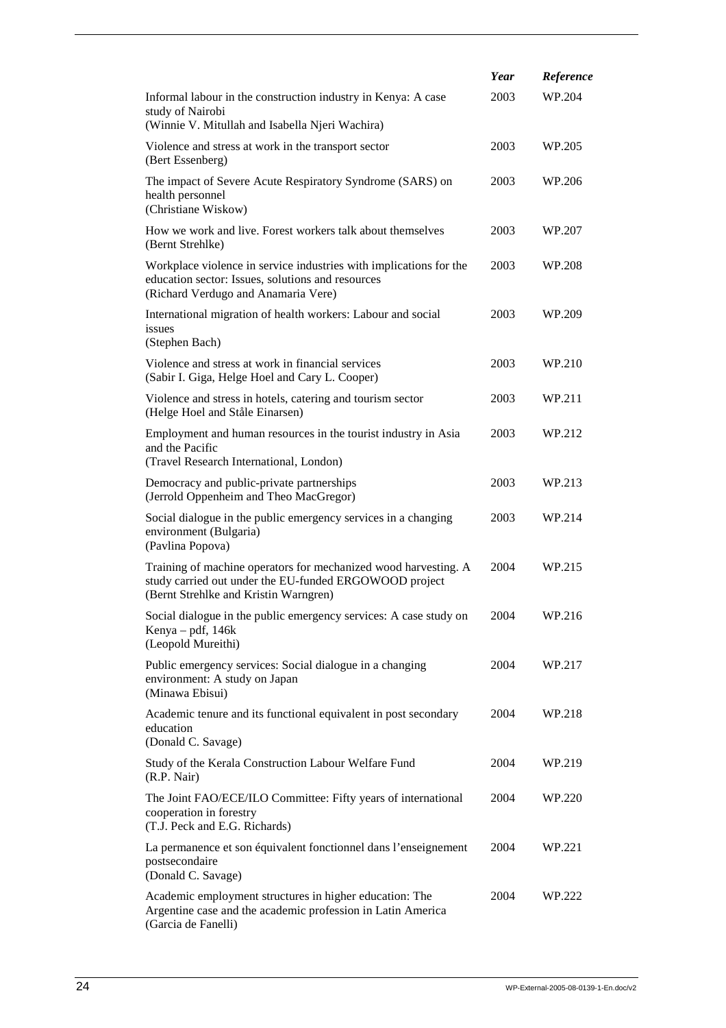|                                                                                                                                                                    | Year | Reference |
|--------------------------------------------------------------------------------------------------------------------------------------------------------------------|------|-----------|
| Informal labour in the construction industry in Kenya: A case<br>study of Nairobi<br>(Winnie V. Mitullah and Isabella Njeri Wachira)                               | 2003 | WP.204    |
| Violence and stress at work in the transport sector<br>(Bert Essenberg)                                                                                            | 2003 | WP.205    |
| The impact of Severe Acute Respiratory Syndrome (SARS) on<br>health personnel<br>(Christiane Wiskow)                                                               | 2003 | WP.206    |
| How we work and live. Forest workers talk about themselves<br>(Bernt Strehlke)                                                                                     | 2003 | WP.207    |
| Workplace violence in service industries with implications for the<br>education sector: Issues, solutions and resources<br>(Richard Verdugo and Anamaria Vere)     | 2003 | WP.208    |
| International migration of health workers: Labour and social<br>issues<br>(Stephen Bach)                                                                           | 2003 | WP.209    |
| Violence and stress at work in financial services<br>(Sabir I. Giga, Helge Hoel and Cary L. Cooper)                                                                | 2003 | WP.210    |
| Violence and stress in hotels, catering and tourism sector<br>(Helge Hoel and Ståle Einarsen)                                                                      | 2003 | WP.211    |
| Employment and human resources in the tourist industry in Asia<br>and the Pacific<br>(Travel Research International, London)                                       | 2003 | WP.212    |
| Democracy and public-private partnerships<br>(Jerrold Oppenheim and Theo MacGregor)                                                                                | 2003 | WP.213    |
| Social dialogue in the public emergency services in a changing<br>environment (Bulgaria)<br>(Pavlina Popova)                                                       | 2003 | WP.214    |
| Training of machine operators for mechanized wood harvesting. A<br>study carried out under the EU-funded ERGOWOOD project<br>(Bernt Strehlke and Kristin Warngren) | 2004 | WP.215    |
| Social dialogue in the public emergency services: A case study on<br>Kenya - pdf, 146k<br>(Leopold Mureithi)                                                       | 2004 | WP.216    |
| Public emergency services: Social dialogue in a changing<br>environment: A study on Japan<br>(Minawa Ebisui)                                                       | 2004 | WP.217    |
| Academic tenure and its functional equivalent in post secondary<br>education<br>(Donald C. Savage)                                                                 | 2004 | WP.218    |
| Study of the Kerala Construction Labour Welfare Fund<br>(R.P. Nair)                                                                                                | 2004 | WP.219    |
| The Joint FAO/ECE/ILO Committee: Fifty years of international<br>cooperation in forestry<br>(T.J. Peck and E.G. Richards)                                          | 2004 | WP.220    |
| La permanence et son équivalent fonctionnel dans l'enseignement<br>postsecondaire<br>(Donald C. Savage)                                                            | 2004 | WP.221    |
| Academic employment structures in higher education: The<br>Argentine case and the academic profession in Latin America<br>(Garcia de Fanelli)                      | 2004 | WP.222    |